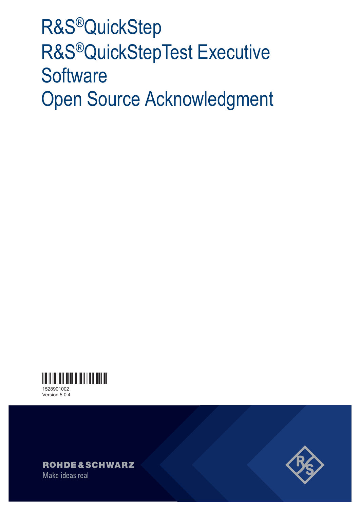# R&S®QuickStep R&S®QuickStepTest Executive **Software** Open Source Acknowledgment



Version 5.0.4





Make ideas real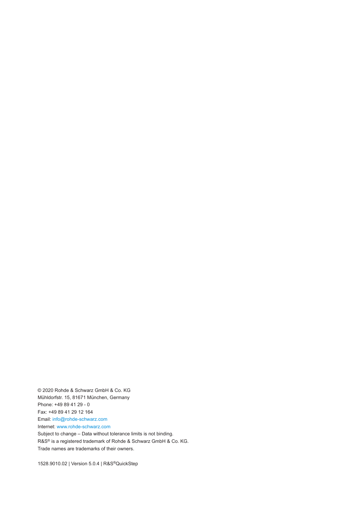© 2020 Rohde & Schwarz GmbH & Co. KG Mühldorfstr. 15, 81671 München, Germany Phone: +49 89 41 29 - 0 Fax: +49 89 41 29 12 164 Email: [info@rohde-schwarz.com](mailto:info@rohde-schwarz.com) Internet: [www.rohde-schwarz.com](http://www.rohde-schwarz.com) Subject to change – Data without tolerance limits is not binding. R&S® is a registered trademark of Rohde & Schwarz GmbH & Co. KG.

Trade names are trademarks of their owners.

1528.9010.02 | Version 5.0.4 | R&S®QuickStep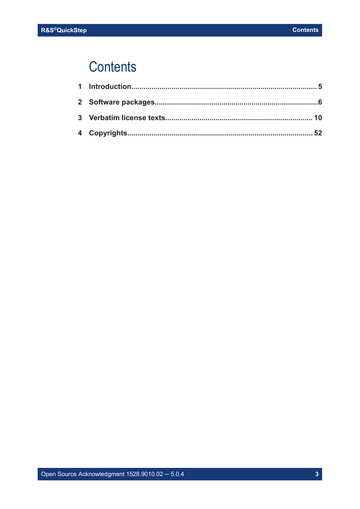## **Contents**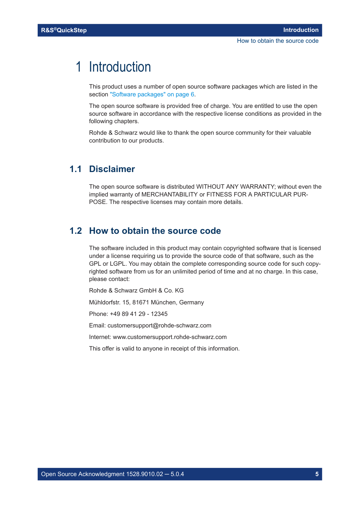## <span id="page-4-0"></span>1 Introduction

This product uses a number of open source software packages which are listed in the section ["Software packages" on page 6](#page-5-0).

The open source software is provided free of charge. You are entitled to use the open source software in accordance with the respective license conditions as provided in the following chapters.

Rohde & Schwarz would like to thank the open source community for their valuable contribution to our products.

## **1.1 Disclaimer**

The open source software is distributed WITHOUT ANY WARRANTY; without even the implied warranty of MERCHANTABILITY or FITNESS FOR A PARTICULAR PUR-POSE. The respective licenses may contain more details.

## **1.2 How to obtain the source code**

The software included in this product may contain copyrighted software that is licensed under a license requiring us to provide the source code of that software, such as the GPL or LGPL. You may obtain the complete corresponding source code for such copyrighted software from us for an unlimited period of time and at no charge. In this case, please contact:

Rohde & Schwarz GmbH & Co. KG

Mühldorfstr. 15, 81671 München, Germany

Phone: +49 89 41 29 - 12345

Email: customersupport@rohde-schwarz.com

Internet: www.customersupport.rohde-schwarz.com

This offer is valid to anyone in receipt of this information.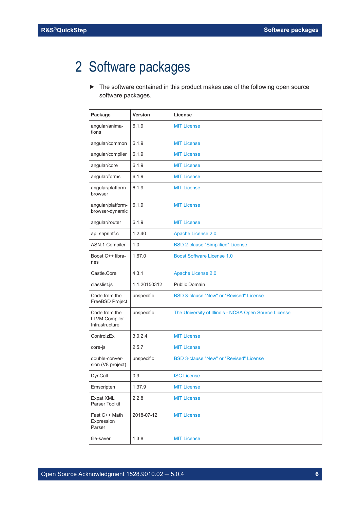## <span id="page-5-0"></span>2 Software packages

► The software contained in this product makes use of the following open source software packages.

| Package                                                 | <b>Version</b> | License                                               |
|---------------------------------------------------------|----------------|-------------------------------------------------------|
| angular/anima-<br>tions                                 | 6.1.9          | <b>MIT License</b>                                    |
| angular/common                                          | 619            | <b>MIT License</b>                                    |
| angular/compiler                                        | 6.1.9          | <b>MIT License</b>                                    |
| angular/core                                            | 6.1.9          | <b>MIT License</b>                                    |
| angular/forms                                           | 6.1.9          | <b>MIT License</b>                                    |
| angular/platform-<br>browser                            | 6.1.9          | <b>MIT License</b>                                    |
| angular/platform-<br>browser-dynamic                    | 6.1.9          | <b>MIT License</b>                                    |
| angular/router                                          | 6.1.9          | <b>MIT License</b>                                    |
| ap_snprintf.c                                           | 1.2.40         | Apache License 2.0                                    |
| ASN.1 Compiler                                          | 1.0            | <b>BSD 2-clause "Simplified" License</b>              |
| Boost C++ libra-<br>ries                                | 1.67.0         | <b>Boost Software License 1.0</b>                     |
| Castle.Core                                             | 4.3.1          | Apache License 2.0                                    |
| classlist.js                                            | 1.1.20150312   | <b>Public Domain</b>                                  |
| Code from the<br>FreeBSD Project                        | unspecific     | BSD 3-clause "New" or "Revised" License               |
| Code from the<br><b>LLVM Compiler</b><br>Infrastructure | unspecific     | The University of Illinois - NCSA Open Source License |
| ControlzEx                                              | 3.0.2.4        | <b>MIT License</b>                                    |
| core-js                                                 | 2.5.7          | <b>MIT License</b>                                    |
| double-conver-<br>sion (V8 project)                     | unspecific     | BSD 3-clause "New" or "Revised" License               |
| DynCall                                                 | 0.9            | <b>ISC License</b>                                    |
| Emscripten                                              | 1.37.9         | <b>MIT License</b>                                    |
| Expat XML<br>Parser Toolkit                             | 2.2.8          | <b>MIT License</b>                                    |
| Fast C++ Math<br>Expression<br>Parser                   | 2018-07-12     | <b>MIT License</b>                                    |
| file-saver                                              | 1.3.8          | <b>MIT License</b>                                    |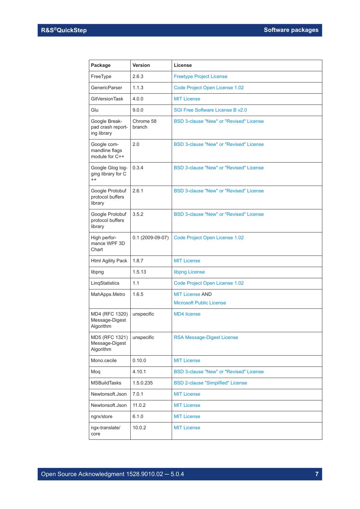| Package                                           | <b>Version</b>      | License                                                   |
|---------------------------------------------------|---------------------|-----------------------------------------------------------|
| FreeType                                          | 2.6.3               | <b>Freetype Project License</b>                           |
| GenericParser                                     | 1.1.3               | Code Project Open License 1.02                            |
| <b>GitVersionTask</b>                             | 4.0.0               | <b>MIT License</b>                                        |
| Glu                                               | 9.0.0               | SGI Free Software License B v2.0                          |
| Google Break-<br>pad crash report-<br>ing library | Chrome 58<br>branch | <b>BSD 3-clause "New" or "Revised" License</b>            |
| Google com-<br>mandline flags<br>module for C++   | 2.0                 | <b>BSD 3-clause "New" or "Revised" License</b>            |
| Google Glog log-<br>ging library for C<br>$^{++}$ | 0.3.4               | <b>BSD 3-clause "New" or "Revised" License</b>            |
| Google Protobuf<br>protocol buffers<br>library    | 2.6.1               | BSD 3-clause "New" or "Revised" License                   |
| Google Protobuf<br>protocol buffers<br>library    | 3.5.2               | BSD 3-clause "New" or "Revised" License                   |
| High perfor-<br>mance WPF 3D<br>Chart             | $0.1(2009-09-07)$   | Code Project Open License 1.02                            |
| Html Agility Pack                                 | 1.8.7               | <b>MIT License</b>                                        |
| libpng                                            | 1.5.13              | libpng License                                            |
| LingStatistics                                    | 1.1                 | Code Project Open License 1.02                            |
| MahApps.Metro                                     | 1.6.5               | <b>MIT License AND</b><br><b>Microsoft Public License</b> |
| MD4 (RFC 1320)<br>Message-Digest<br>Algorithm     | unspecific          | <b>MD4</b> license                                        |
| MD5 (RFC 1321)<br>Message-Digest<br>Algorithm     | unspecific          | <b>RSA Message-Digest License</b>                         |
| Mono.cecile                                       | 0.10.0              | <b>MIT License</b>                                        |
| Moq                                               | 4.10.1              | BSD 3-clause "New" or "Revised" License                   |
| <b>MSBuildTasks</b>                               | 1.5.0.235           | <b>BSD 2-clause "Simplified" License</b>                  |
| Newtonsoft.Json                                   | 7.0.1               | <b>MIT License</b>                                        |
| Newtonsoft.Json                                   | 11.0.2              | <b>MIT License</b>                                        |
| ngrx/store                                        | 6.1.0               | <b>MIT License</b>                                        |
| ngx-translate/<br>core                            | 10.0.2              | <b>MIT License</b>                                        |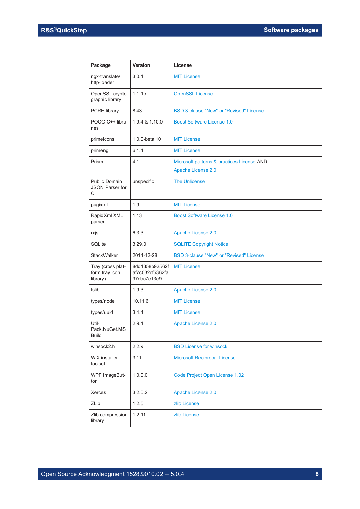| Package                                         | <b>Version</b>                                   | License                                                          |
|-------------------------------------------------|--------------------------------------------------|------------------------------------------------------------------|
| ngx-translate/<br>http-loader                   | 3.0.1                                            | <b>MIT License</b>                                               |
| OpenSSL crypto-<br>graphic library              | 1.1.1c                                           | <b>OpenSSL License</b>                                           |
| PCRE library                                    | 8.43                                             | BSD 3-clause "New" or "Revised" License                          |
| POCO C++ libra-<br>ries                         | 1.9.4 & 1.10.0                                   | Boost Software License 1.0                                       |
| primeicons                                      | 1.0.0-beta.10                                    | <b>MIT License</b>                                               |
| primeng                                         | 6.1.4                                            | <b>MIT License</b>                                               |
| Prism                                           | 4.1                                              | Microsoft patterns & practices License AND<br>Apache License 2.0 |
| Public Domain<br><b>JSON Parser for</b><br>C    | unspecific                                       | <b>The Unlicense</b>                                             |
| pugixml                                         | 1.9                                              | <b>MIT License</b>                                               |
| RapidXml XML<br>parser                          | 1.13                                             | <b>Boost Software License 1.0</b>                                |
| rxjs                                            | 6.3.3                                            | Apache License 2.0                                               |
| SQLite                                          | 3.29.0                                           | <b>SQLITE Copyright Notice</b>                                   |
| <b>StackWalker</b>                              | 2014-12-28                                       | <b>BSD 3-clause "New" or "Revised" License</b>                   |
| Tray (cross plat-<br>form tray icon<br>library) | 8dd1358b92562f<br>af7c032cf5362fa<br>97cbc7e13e9 | <b>MIT License</b>                                               |
| tslib                                           | 1.9.3                                            | Apache License 2.0                                               |
| types/node                                      | 10.11.6                                          | <b>MIT License</b>                                               |
| types/uuid                                      | 3.4.4                                            | <b>MIT License</b>                                               |
| Util-<br>Pack.NuGet.MS<br><b>Build</b>          | 2.9.1                                            | Apache License 2.0                                               |
| winsock2.h                                      | 2.2.x                                            | <b>BSD License for winsock</b>                                   |
| WiX installer<br>toolset                        | 3.11                                             | <b>Microsoft Reciprocal License</b>                              |
| WPF ImageBut-<br>ton                            | 1.0.0.0                                          | Code Project Open License 1.02                                   |
| Xerces                                          | 3.2.0.2                                          | Apache License 2.0                                               |
| ZLib                                            | 1.2.5                                            | zlib License                                                     |
| Zlib compression<br>library                     | 1.2.11                                           | zlib License                                                     |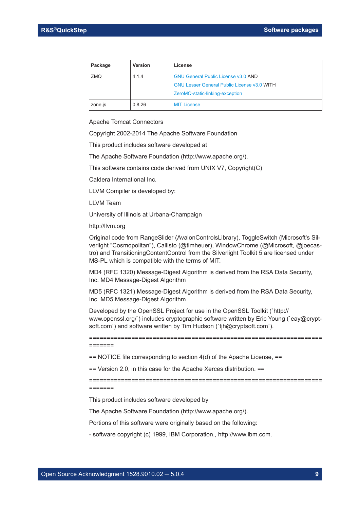| Package | <b>Version</b> | License                                            |
|---------|----------------|----------------------------------------------------|
| ZMQ     | 4.1.4          | <b>GNU General Public License v3.0 AND</b>         |
|         |                | <b>GNU Lesser General Public License v3.0 WITH</b> |
|         |                | ZeroMQ-static-linking-exception                    |
| zone.js | 0.8.26         | <b>MIT License</b>                                 |

Apache Tomcat Connectors

Copyright 2002-2014 The Apache Software Foundation

This product includes software developed at

The Apache Software Foundation (http://www.apache.org/).

This software contains code derived from UNIX V7, Copyright(C)

Caldera International Inc.

LLVM Compiler is developed by:

LLVM Team

University of Illinois at Urbana-Champaign

http://llvm.org

Original code from RangeSlider (AvalonControlsLibrary), ToggleSwitch (Microsoft's Silverlight "Cosmopolitan"), Callisto (@timheuer), WindowChrome (@Microsoft, @joecastro) and TransitioningContentControl from the Silverlight Toolkit 5 are licensed under MS-PL which is compatible with the terms of MIT.

MD4 (RFC 1320) Message-Digest Algorithm is derived from the RSA Data Security, Inc. MD4 Message-Digest Algorithm

MD5 (RFC 1321) Message-Digest Algorithm is derived from the RSA Data Security, Inc. MD5 Message-Digest Algorithm

Developed by the OpenSSL Project for use in the OpenSSL Toolkit (`http:// www.openssl.org/`) includes cryptographic software written by Eric Young (`eay@cryptsoft.com`) and software written by Tim Hudson (`tjh@cryptsoft.com`).

================================================================== =======

 $=$  NOTICE file corresponding to section 4(d) of the Apache License,  $=$ 

== Version 2.0, in this case for the Apache Xerces distribution. ==

================================================================== =======

This product includes software developed by

The Apache Software Foundation (http://www.apache.org/).

Portions of this software were originally based on the following:

- software copyright (c) 1999, IBM Corporation., http://www.ibm.com.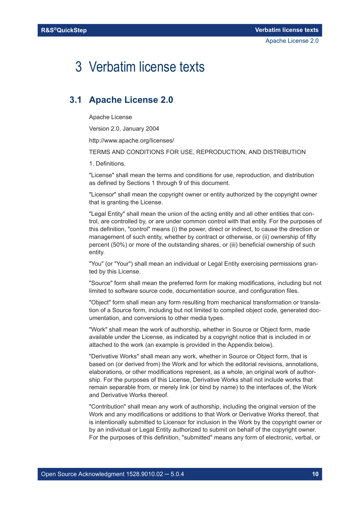## <span id="page-9-0"></span>3 Verbatim license texts

#### **3.1 Apache License 2.0**

Apache License

Version 2.0, January 2004

http://www.apache.org/licenses/

TERMS AND CONDITIONS FOR USE, REPRODUCTION, AND DISTRIBUTION

1. Definitions.

"License" shall mean the terms and conditions for use, reproduction, and distribution as defined by Sections 1 through 9 of this document.

"Licensor" shall mean the copyright owner or entity authorized by the copyright owner that is granting the License.

"Legal Entity" shall mean the union of the acting entity and all other entities that control, are controlled by, or are under common control with that entity. For the purposes of this definition, "control" means (i) the power, direct or indirect, to cause the direction or management of such entity, whether by contract or otherwise, or (ii) ownership of fifty percent (50%) or more of the outstanding shares, or (iii) beneficial ownership of such entity.

"You" (or "Your") shall mean an individual or Legal Entity exercising permissions granted by this License.

"Source" form shall mean the preferred form for making modifications, including but not limited to software source code, documentation source, and configuration files.

"Object" form shall mean any form resulting from mechanical transformation or translation of a Source form, including but not limited to compiled object code, generated documentation, and conversions to other media types.

"Work" shall mean the work of authorship, whether in Source or Object form, made available under the License, as indicated by a copyright notice that is included in or attached to the work (an example is provided in the Appendix below).

"Derivative Works" shall mean any work, whether in Source or Object form, that is based on (or derived from) the Work and for which the editorial revisions, annotations, elaborations, or other modifications represent, as a whole, an original work of authorship. For the purposes of this License, Derivative Works shall not include works that remain separable from, or merely link (or bind by name) to the interfaces of, the Work and Derivative Works thereof.

"Contribution" shall mean any work of authorship, including the original version of the Work and any modifications or additions to that Work or Derivative Works thereof, that is intentionally submitted to Licensor for inclusion in the Work by the copyright owner or by an individual or Legal Entity authorized to submit on behalf of the copyright owner. For the purposes of this definition, "submitted" means any form of electronic, verbal, or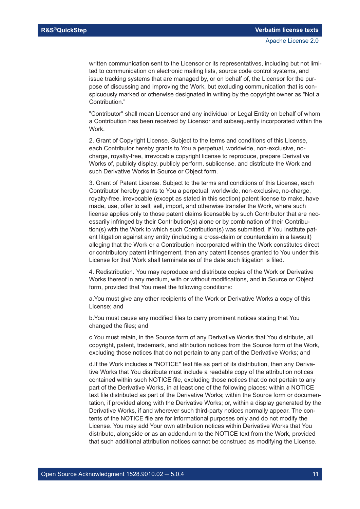written communication sent to the Licensor or its representatives, including but not limited to communication on electronic mailing lists, source code control systems, and issue tracking systems that are managed by, or on behalf of, the Licensor for the purpose of discussing and improving the Work, but excluding communication that is conspicuously marked or otherwise designated in writing by the copyright owner as "Not a Contribution."

"Contributor" shall mean Licensor and any individual or Legal Entity on behalf of whom a Contribution has been received by Licensor and subsequently incorporated within the **Work** 

2. Grant of Copyright License. Subject to the terms and conditions of this License, each Contributor hereby grants to You a perpetual, worldwide, non-exclusive, nocharge, royalty-free, irrevocable copyright license to reproduce, prepare Derivative Works of, publicly display, publicly perform, sublicense, and distribute the Work and such Derivative Works in Source or Object form.

3. Grant of Patent License. Subject to the terms and conditions of this License, each Contributor hereby grants to You a perpetual, worldwide, non-exclusive, no-charge, royalty-free, irrevocable (except as stated in this section) patent license to make, have made, use, offer to sell, sell, import, and otherwise transfer the Work, where such license applies only to those patent claims licensable by such Contributor that are necessarily infringed by their Contribution(s) alone or by combination of their Contribution(s) with the Work to which such Contribution(s) was submitted. If You institute patent litigation against any entity (including a cross-claim or counterclaim in a lawsuit) alleging that the Work or a Contribution incorporated within the Work constitutes direct or contributory patent infringement, then any patent licenses granted to You under this License for that Work shall terminate as of the date such litigation is filed.

4. Redistribution. You may reproduce and distribute copies of the Work or Derivative Works thereof in any medium, with or without modifications, and in Source or Object form, provided that You meet the following conditions:

a.You must give any other recipients of the Work or Derivative Works a copy of this License; and

b.You must cause any modified files to carry prominent notices stating that You changed the files; and

c.You must retain, in the Source form of any Derivative Works that You distribute, all copyright, patent, trademark, and attribution notices from the Source form of the Work, excluding those notices that do not pertain to any part of the Derivative Works; and

d.If the Work includes a "NOTICE" text file as part of its distribution, then any Derivative Works that You distribute must include a readable copy of the attribution notices contained within such NOTICE file, excluding those notices that do not pertain to any part of the Derivative Works, in at least one of the following places: within a NOTICE text file distributed as part of the Derivative Works; within the Source form or documentation, if provided along with the Derivative Works; or, within a display generated by the Derivative Works, if and wherever such third-party notices normally appear. The contents of the NOTICE file are for informational purposes only and do not modify the License. You may add Your own attribution notices within Derivative Works that You distribute, alongside or as an addendum to the NOTICE text from the Work, provided that such additional attribution notices cannot be construed as modifying the License.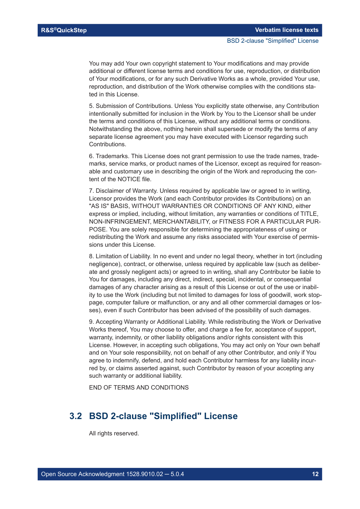<span id="page-11-0"></span>You may add Your own copyright statement to Your modifications and may provide additional or different license terms and conditions for use, reproduction, or distribution of Your modifications, or for any such Derivative Works as a whole, provided Your use, reproduction, and distribution of the Work otherwise complies with the conditions stated in this License.

5. Submission of Contributions. Unless You explicitly state otherwise, any Contribution intentionally submitted for inclusion in the Work by You to the Licensor shall be under the terms and conditions of this License, without any additional terms or conditions. Notwithstanding the above, nothing herein shall supersede or modify the terms of any separate license agreement you may have executed with Licensor regarding such Contributions.

6. Trademarks. This License does not grant permission to use the trade names, trademarks, service marks, or product names of the Licensor, except as required for reasonable and customary use in describing the origin of the Work and reproducing the content of the NOTICE file.

7. Disclaimer of Warranty. Unless required by applicable law or agreed to in writing, Licensor provides the Work (and each Contributor provides its Contributions) on an "AS IS" BASIS, WITHOUT WARRANTIES OR CONDITIONS OF ANY KIND, either express or implied, including, without limitation, any warranties or conditions of TITLE, NON-INFRINGEMENT, MERCHANTABILITY, or FITNESS FOR A PARTICULAR PUR-POSE. You are solely responsible for determining the appropriateness of using or redistributing the Work and assume any risks associated with Your exercise of permissions under this License.

8. Limitation of Liability. In no event and under no legal theory, whether in tort (including negligence), contract, or otherwise, unless required by applicable law (such as deliberate and grossly negligent acts) or agreed to in writing, shall any Contributor be liable to You for damages, including any direct, indirect, special, incidental, or consequential damages of any character arising as a result of this License or out of the use or inability to use the Work (including but not limited to damages for loss of goodwill, work stoppage, computer failure or malfunction, or any and all other commercial damages or losses), even if such Contributor has been advised of the possibility of such damages.

9. Accepting Warranty or Additional Liability. While redistributing the Work or Derivative Works thereof, You may choose to offer, and charge a fee for, acceptance of support, warranty, indemnity, or other liability obligations and/or rights consistent with this License. However, in accepting such obligations, You may act only on Your own behalf and on Your sole responsibility, not on behalf of any other Contributor, and only if You agree to indemnify, defend, and hold each Contributor harmless for any liability incurred by, or claims asserted against, such Contributor by reason of your accepting any such warranty or additional liability.

END OF TERMS AND CONDITIONS

## **3.2 BSD 2-clause "Simplified" License**

All rights reserved.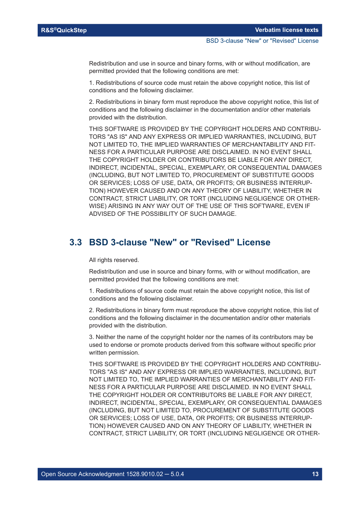<span id="page-12-0"></span>Redistribution and use in source and binary forms, with or without modification, are permitted provided that the following conditions are met:

1. Redistributions of source code must retain the above copyright notice, this list of conditions and the following disclaimer.

2. Redistributions in binary form must reproduce the above copyright notice, this list of conditions and the following disclaimer in the documentation and/or other materials provided with the distribution.

THIS SOFTWARE IS PROVIDED BY THE COPYRIGHT HOLDERS AND CONTRIBU-TORS "AS IS" AND ANY EXPRESS OR IMPLIED WARRANTIES, INCLUDING, BUT NOT LIMITED TO, THE IMPLIED WARRANTIES OF MERCHANTABILITY AND FIT-NESS FOR A PARTICULAR PURPOSE ARE DISCLAIMED. IN NO EVENT SHALL THE COPYRIGHT HOLDER OR CONTRIBUTORS BE LIABLE FOR ANY DIRECT, INDIRECT, INCIDENTAL, SPECIAL, EXEMPLARY, OR CONSEQUENTIAL DAMAGES (INCLUDING, BUT NOT LIMITED TO, PROCUREMENT OF SUBSTITUTE GOODS OR SERVICES; LOSS OF USE, DATA, OR PROFITS; OR BUSINESS INTERRUP-TION) HOWEVER CAUSED AND ON ANY THEORY OF LIABILITY, WHETHER IN CONTRACT, STRICT LIABILITY, OR TORT (INCLUDING NEGLIGENCE OR OTHER-WISE) ARISING IN ANY WAY OUT OF THE USE OF THIS SOFTWARE, EVEN IF ADVISED OF THE POSSIBILITY OF SUCH DAMAGE.

#### **3.3 BSD 3-clause "New" or "Revised" License**

All rights reserved.

Redistribution and use in source and binary forms, with or without modification, are permitted provided that the following conditions are met:

1. Redistributions of source code must retain the above copyright notice, this list of conditions and the following disclaimer.

2. Redistributions in binary form must reproduce the above copyright notice, this list of conditions and the following disclaimer in the documentation and/or other materials provided with the distribution.

3. Neither the name of the copyright holder nor the names of its contributors may be used to endorse or promote products derived from this software without specific prior written permission.

THIS SOFTWARE IS PROVIDED BY THE COPYRIGHT HOLDERS AND CONTRIBU-TORS "AS IS" AND ANY EXPRESS OR IMPLIED WARRANTIES, INCLUDING, BUT NOT LIMITED TO, THE IMPLIED WARRANTIES OF MERCHANTABILITY AND FIT-NESS FOR A PARTICULAR PURPOSE ARE DISCLAIMED. IN NO EVENT SHALL THE COPYRIGHT HOLDER OR CONTRIBUTORS BE LIABLE FOR ANY DIRECT, INDIRECT, INCIDENTAL, SPECIAL, EXEMPLARY, OR CONSEQUENTIAL DAMAGES (INCLUDING, BUT NOT LIMITED TO, PROCUREMENT OF SUBSTITUTE GOODS OR SERVICES; LOSS OF USE, DATA, OR PROFITS; OR BUSINESS INTERRUP-TION) HOWEVER CAUSED AND ON ANY THEORY OF LIABILITY, WHETHER IN CONTRACT, STRICT LIABILITY, OR TORT (INCLUDING NEGLIGENCE OR OTHER-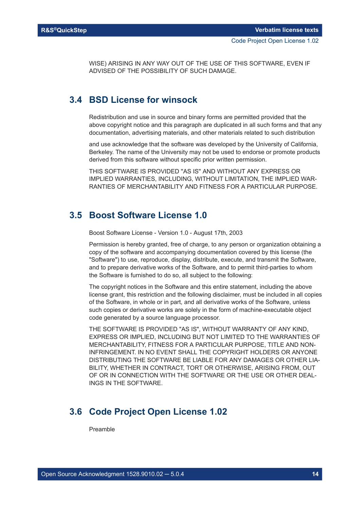<span id="page-13-0"></span>WISE) ARISING IN ANY WAY OUT OF THE USE OF THIS SOFTWARE, EVEN IF ADVISED OF THE POSSIBILITY OF SUCH DAMAGE.

#### **3.4 BSD License for winsock**

Redistribution and use in source and binary forms are permitted provided that the above copyright notice and this paragraph are duplicated in all such forms and that any documentation, advertising materials, and other materials related to such distribution

and use acknowledge that the software was developed by the University of California, Berkeley. The name of the University may not be used to endorse or promote products derived from this software without specific prior written permission.

THIS SOFTWARE IS PROVIDED ''AS IS'' AND WITHOUT ANY EXPRESS OR IMPLIED WARRANTIES, INCLUDING, WITHOUT LIMITATION, THE IMPLIED WAR-RANTIES OF MERCHANTABILITY AND FITNESS FOR A PARTICULAR PURPOSE.

### **3.5 Boost Software License 1.0**

Boost Software License - Version 1.0 - August 17th, 2003

Permission is hereby granted, free of charge, to any person or organization obtaining a copy of the software and accompanying documentation covered by this license (the "Software") to use, reproduce, display, distribute, execute, and transmit the Software, and to prepare derivative works of the Software, and to permit third-parties to whom the Software is furnished to do so, all subject to the following:

The copyright notices in the Software and this entire statement, including the above license grant, this restriction and the following disclaimer, must be included in all copies of the Software, in whole or in part, and all derivative works of the Software, unless such copies or derivative works are solely in the form of machine-executable object code generated by a source language processor.

THE SOFTWARE IS PROVIDED "AS IS", WITHOUT WARRANTY OF ANY KIND, EXPRESS OR IMPLIED, INCLUDING BUT NOT LIMITED TO THE WARRANTIES OF MERCHANTABILITY, FITNESS FOR A PARTICULAR PURPOSE, TITLE AND NON-INFRINGEMENT. IN NO EVENT SHALL THE COPYRIGHT HOLDERS OR ANYONE DISTRIBUTING THE SOFTWARE BE LIABLE FOR ANY DAMAGES OR OTHER LIA-BILITY, WHETHER IN CONTRACT, TORT OR OTHERWISE, ARISING FROM, OUT OF OR IN CONNECTION WITH THE SOFTWARE OR THE USE OR OTHER DEAL-INGS IN THE SOFTWARE.

#### **3.6 Code Project Open License 1.02**

Preamble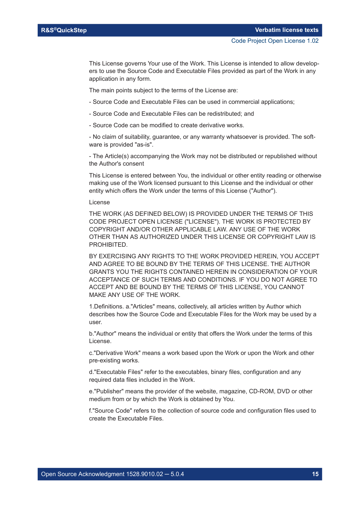This License governs Your use of the Work. This License is intended to allow developers to use the Source Code and Executable Files provided as part of the Work in any application in any form.

The main points subject to the terms of the License are:

- Source Code and Executable Files can be used in commercial applications;
- Source Code and Executable Files can be redistributed; and
- Source Code can be modified to create derivative works.

- No claim of suitability, guarantee, or any warranty whatsoever is provided. The software is provided "as-is".

- The Article(s) accompanying the Work may not be distributed or republished without the Author's consent

This License is entered between You, the individual or other entity reading or otherwise making use of the Work licensed pursuant to this License and the individual or other entity which offers the Work under the terms of this License ("Author").

#### License

THE WORK (AS DEFINED BELOW) IS PROVIDED UNDER THE TERMS OF THIS CODE PROJECT OPEN LICENSE ("LICENSE"). THE WORK IS PROTECTED BY COPYRIGHT AND/OR OTHER APPLICABLE LAW. ANY USE OF THE WORK OTHER THAN AS AUTHORIZED UNDER THIS LICENSE OR COPYRIGHT LAW IS **PROHIBITED.** 

BY EXERCISING ANY RIGHTS TO THE WORK PROVIDED HEREIN, YOU ACCEPT AND AGREE TO BE BOUND BY THE TERMS OF THIS LICENSE. THE AUTHOR GRANTS YOU THE RIGHTS CONTAINED HEREIN IN CONSIDERATION OF YOUR ACCEPTANCE OF SUCH TERMS AND CONDITIONS. IF YOU DO NOT AGREE TO ACCEPT AND BE BOUND BY THE TERMS OF THIS LICENSE, YOU CANNOT MAKE ANY USE OF THE WORK.

1.Definitions. a."Articles" means, collectively, all articles written by Author which describes how the Source Code and Executable Files for the Work may be used by a user.

b."Author" means the individual or entity that offers the Work under the terms of this License.

c."Derivative Work" means a work based upon the Work or upon the Work and other pre-existing works.

d."Executable Files" refer to the executables, binary files, configuration and any required data files included in the Work.

e."Publisher" means the provider of the website, magazine, CD-ROM, DVD or other medium from or by which the Work is obtained by You.

f."Source Code" refers to the collection of source code and configuration files used to create the Executable Files.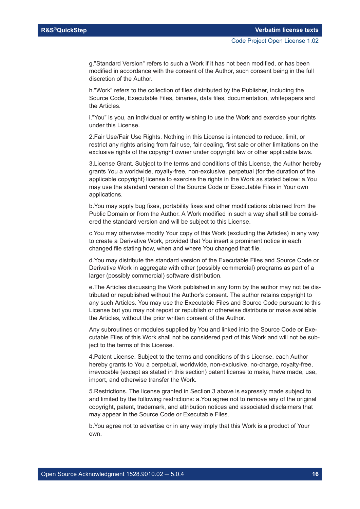g."Standard Version" refers to such a Work if it has not been modified, or has been modified in accordance with the consent of the Author, such consent being in the full discretion of the Author.

h."Work" refers to the collection of files distributed by the Publisher, including the Source Code, Executable Files, binaries, data files, documentation, whitepapers and the Articles.

i."You" is you, an individual or entity wishing to use the Work and exercise your rights under this License.

2.Fair Use/Fair Use Rights. Nothing in this License is intended to reduce, limit, or restrict any rights arising from fair use, fair dealing, first sale or other limitations on the exclusive rights of the copyright owner under copyright law or other applicable laws.

3.License Grant. Subject to the terms and conditions of this License, the Author hereby grants You a worldwide, royalty-free, non-exclusive, perpetual (for the duration of the applicable copyright) license to exercise the rights in the Work as stated below: a.You may use the standard version of the Source Code or Executable Files in Your own applications.

b.You may apply bug fixes, portability fixes and other modifications obtained from the Public Domain or from the Author. A Work modified in such a way shall still be considered the standard version and will be subject to this License.

c.You may otherwise modify Your copy of this Work (excluding the Articles) in any way to create a Derivative Work, provided that You insert a prominent notice in each changed file stating how, when and where You changed that file.

d.You may distribute the standard version of the Executable Files and Source Code or Derivative Work in aggregate with other (possibly commercial) programs as part of a larger (possibly commercial) software distribution.

e.The Articles discussing the Work published in any form by the author may not be distributed or republished without the Author's consent. The author retains copyright to any such Articles. You may use the Executable Files and Source Code pursuant to this License but you may not repost or republish or otherwise distribute or make available the Articles, without the prior written consent of the Author.

Any subroutines or modules supplied by You and linked into the Source Code or Executable Files of this Work shall not be considered part of this Work and will not be subject to the terms of this License.

4.Patent License. Subject to the terms and conditions of this License, each Author hereby grants to You a perpetual, worldwide, non-exclusive, no-charge, royalty-free, irrevocable (except as stated in this section) patent license to make, have made, use, import, and otherwise transfer the Work.

5.Restrictions. The license granted in Section 3 above is expressly made subject to and limited by the following restrictions: a.You agree not to remove any of the original copyright, patent, trademark, and attribution notices and associated disclaimers that may appear in the Source Code or Executable Files.

b.You agree not to advertise or in any way imply that this Work is a product of Your own.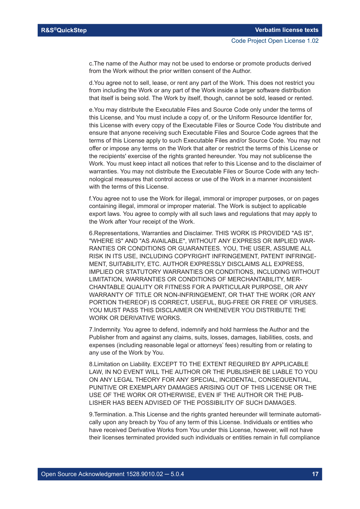c.The name of the Author may not be used to endorse or promote products derived from the Work without the prior written consent of the Author.

d.You agree not to sell, lease, or rent any part of the Work. This does not restrict you from including the Work or any part of the Work inside a larger software distribution that itself is being sold. The Work by itself, though, cannot be sold, leased or rented.

e.You may distribute the Executable Files and Source Code only under the terms of this License, and You must include a copy of, or the Uniform Resource Identifier for, this License with every copy of the Executable Files or Source Code You distribute and ensure that anyone receiving such Executable Files and Source Code agrees that the terms of this License apply to such Executable Files and/or Source Code. You may not offer or impose any terms on the Work that alter or restrict the terms of this License or the recipients' exercise of the rights granted hereunder. You may not sublicense the Work. You must keep intact all notices that refer to this License and to the disclaimer of warranties. You may not distribute the Executable Files or Source Code with any technological measures that control access or use of the Work in a manner inconsistent with the terms of this License.

f.You agree not to use the Work for illegal, immoral or improper purposes, or on pages containing illegal, immoral or improper material. The Work is subject to applicable export laws. You agree to comply with all such laws and regulations that may apply to the Work after Your receipt of the Work.

6.Representations, Warranties and Disclaimer. THIS WORK IS PROVIDED "AS IS", "WHERE IS" AND "AS AVAILABLE", WITHOUT ANY EXPRESS OR IMPLIED WAR-RANTIES OR CONDITIONS OR GUARANTEES. YOU, THE USER, ASSUME ALL RISK IN ITS USE, INCLUDING COPYRIGHT INFRINGEMENT, PATENT INFRINGE-MENT, SUITABILITY, ETC. AUTHOR EXPRESSLY DISCLAIMS ALL EXPRESS, IMPLIED OR STATUTORY WARRANTIES OR CONDITIONS, INCLUDING WITHOUT LIMITATION, WARRANTIES OR CONDITIONS OF MERCHANTABILITY, MER-CHANTABLE QUALITY OR FITNESS FOR A PARTICULAR PURPOSE, OR ANY WARRANTY OF TITLE OR NON-INFRINGEMENT, OR THAT THE WORK (OR ANY PORTION THEREOF) IS CORRECT, USEFUL, BUG-FREE OR FREE OF VIRUSES. YOU MUST PASS THIS DISCLAIMER ON WHENEVER YOU DISTRIBUTE THE WORK OR DERIVATIVE WORKS.

7.Indemnity. You agree to defend, indemnify and hold harmless the Author and the Publisher from and against any claims, suits, losses, damages, liabilities, costs, and expenses (including reasonable legal or attorneys' fees) resulting from or relating to any use of the Work by You.

8.Limitation on Liability. EXCEPT TO THE EXTENT REQUIRED BY APPLICABLE LAW, IN NO EVENT WILL THE AUTHOR OR THE PUBLISHER BE LIABLE TO YOU ON ANY LEGAL THEORY FOR ANY SPECIAL, INCIDENTAL, CONSEQUENTIAL, PUNITIVE OR EXEMPLARY DAMAGES ARISING OUT OF THIS LICENSE OR THE USE OF THE WORK OR OTHERWISE, EVEN IF THE AUTHOR OR THE PUB-LISHER HAS BEEN ADVISED OF THE POSSIBILITY OF SUCH DAMAGES.

9.Termination. a.This License and the rights granted hereunder will terminate automatically upon any breach by You of any term of this License. Individuals or entities who have received Derivative Works from You under this License, however, will not have their licenses terminated provided such individuals or entities remain in full compliance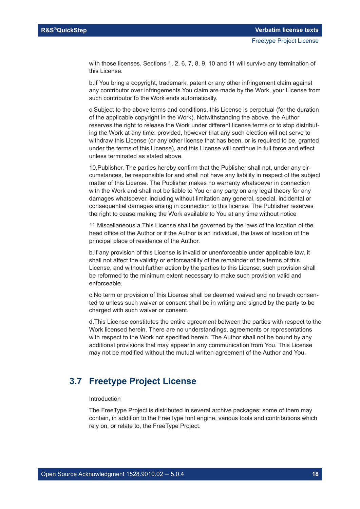<span id="page-17-0"></span>with those licenses. Sections 1, 2, 6, 7, 8, 9, 10 and 11 will survive any termination of this License.

b.If You bring a copyright, trademark, patent or any other infringement claim against any contributor over infringements You claim are made by the Work, your License from such contributor to the Work ends automatically.

c.Subject to the above terms and conditions, this License is perpetual (for the duration of the applicable copyright in the Work). Notwithstanding the above, the Author reserves the right to release the Work under different license terms or to stop distributing the Work at any time; provided, however that any such election will not serve to withdraw this License (or any other license that has been, or is required to be, granted under the terms of this License), and this License will continue in full force and effect unless terminated as stated above.

10.Publisher. The parties hereby confirm that the Publisher shall not, under any circumstances, be responsible for and shall not have any liability in respect of the subject matter of this License. The Publisher makes no warranty whatsoever in connection with the Work and shall not be liable to You or any party on any legal theory for any damages whatsoever, including without limitation any general, special, incidental or consequential damages arising in connection to this license. The Publisher reserves the right to cease making the Work available to You at any time without notice

11.Miscellaneous a.This License shall be governed by the laws of the location of the head office of the Author or if the Author is an individual, the laws of location of the principal place of residence of the Author.

b.If any provision of this License is invalid or unenforceable under applicable law, it shall not affect the validity or enforceability of the remainder of the terms of this License, and without further action by the parties to this License, such provision shall be reformed to the minimum extent necessary to make such provision valid and enforceable.

c.No term or provision of this License shall be deemed waived and no breach consented to unless such waiver or consent shall be in writing and signed by the party to be charged with such waiver or consent.

d.This License constitutes the entire agreement between the parties with respect to the Work licensed herein. There are no understandings, agreements or representations with respect to the Work not specified herein. The Author shall not be bound by any additional provisions that may appear in any communication from You. This License may not be modified without the mutual written agreement of the Author and You.

## **3.7 Freetype Project License**

#### Introduction

The FreeType Project is distributed in several archive packages; some of them may contain, in addition to the FreeType font engine, various tools and contributions which rely on, or relate to, the FreeType Project.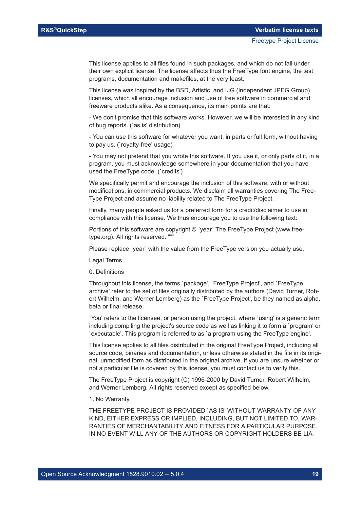This license applies to all files found in such packages, and which do not fall under their own explicit license. The license affects thus the FreeType font engine, the test programs, documentation and makefiles, at the very least.

This license was inspired by the BSD, Artistic, and IJG (Independent JPEG Group) licenses, which all encourage inclusion and use of free software in commercial and freeware products alike. As a consequence, its main points are that:

- We don't promise that this software works. However, we will be interested in any kind of bug reports. (`as is' distribution)

- You can use this software for whatever you want, in parts or full form, without having to pay us. (`royalty-free' usage)

- You may not pretend that you wrote this software. If you use it, or only parts of it, in a program, you must acknowledge somewhere in your documentation that you have used the FreeType code. (`credits')

We specifically permit and encourage the inclusion of this software, with or without modifications, in commercial products. We disclaim all warranties covering The Free-Type Project and assume no liability related to The FreeType Project.

Finally, many people asked us for a preferred form for a credit/disclaimer to use in compliance with this license. We thus encourage you to use the following text:

Portions of this software are copyright © ´year´ The FreeType Project (www.freetype.org). All rights reserved. """

Please replace ´year´ with the value from the FreeType version you actually use.

Legal Terms

0. Definitions

Throughout this license, the terms `package', `FreeType Project', and `FreeType archive' refer to the set of files originally distributed by the authors (David Turner, Robert Wilhelm, and Werner Lemberg) as the `FreeType Project', be they named as alpha, beta or final release.

`You' refers to the licensee, or person using the project, where `using' is a generic term including compiling the project's source code as well as linking it to form a `program' or `executable'. This program is referred to as `a program using the FreeType engine'.

This license applies to all files distributed in the original FreeType Project, including all source code, binaries and documentation, unless otherwise stated in the file in its original, unmodified form as distributed in the original archive. If you are unsure whether or not a particular file is covered by this license, you must contact us to verify this.

The FreeType Project is copyright (C) 1996-2000 by David Turner, Robert Wilhelm, and Werner Lemberg. All rights reserved except as specified below.

#### 1. No Warranty

THE FREETYPE PROJECT IS PROVIDED `AS IS' WITHOUT WARRANTY OF ANY KIND, EITHER EXPRESS OR IMPLIED, INCLUDING, BUT NOT LIMITED TO, WAR-RANTIES OF MERCHANTABILITY AND FITNESS FOR A PARTICULAR PURPOSE. IN NO EVENT WILL ANY OF THE AUTHORS OR COPYRIGHT HOLDERS BE LIA-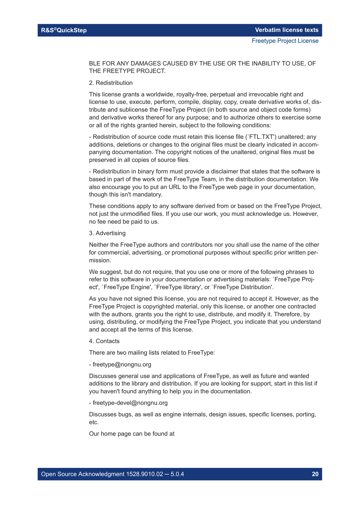BLE FOR ANY DAMAGES CAUSED BY THE USE OR THE INABILITY TO USE, OF THE FREETYPE PROJECT.

#### 2. Redistribution

This license grants a worldwide, royalty-free, perpetual and irrevocable right and license to use, execute, perform, compile, display, copy, create derivative works of, distribute and sublicense the FreeType Project (in both source and object code forms) and derivative works thereof for any purpose; and to authorize others to exercise some or all of the rights granted herein, subject to the following conditions:

- Redistribution of source code must retain this license file (`FTL.TXT') unaltered; any additions, deletions or changes to the original files must be clearly indicated in accompanying documentation. The copyright notices of the unaltered, original files must be preserved in all copies of source files.

- Redistribution in binary form must provide a disclaimer that states that the software is based in part of the work of the FreeType Team, in the distribution documentation. We also encourage you to put an URL to the FreeType web page in your documentation, though this isn't mandatory.

These conditions apply to any software derived from or based on the FreeType Project, not just the unmodified files. If you use our work, you must acknowledge us. However, no fee need be paid to us.

#### 3. Advertising

Neither the FreeType authors and contributors nor you shall use the name of the other for commercial, advertising, or promotional purposes without specific prior written permission.

We suggest, but do not require, that you use one or more of the following phrases to refer to this software in your documentation or advertising materials: `FreeType Project', `FreeType Engine', `FreeType library', or `FreeType Distribution'.

As you have not signed this license, you are not required to accept it. However, as the FreeType Project is copyrighted material, only this license, or another one contracted with the authors, grants you the right to use, distribute, and modify it. Therefore, by using, distributing, or modifying the FreeType Project, you indicate that you understand and accept all the terms of this license.

#### 4. Contacts

There are two mailing lists related to FreeType:

- freetype@nongnu.org

Discusses general use and applications of FreeType, as well as future and wanted additions to the library and distribution. If you are looking for support, start in this list if you haven't found anything to help you in the documentation.

#### - freetype-devel@nongnu.org

Discusses bugs, as well as engine internals, design issues, specific licenses, porting, etc.

Our home page can be found at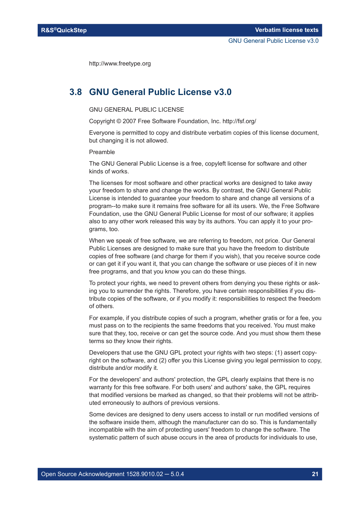<span id="page-20-0"></span>http://www.freetype.org

### **3.8 GNU General Public License v3.0**

GNU GENERAL PUBLIC LICENSE

Copyright © 2007 Free Software Foundation, Inc. http://fsf.org/

Everyone is permitted to copy and distribute verbatim copies of this license document, but changing it is not allowed.

Preamble

The GNU General Public License is a free, copyleft license for software and other kinds of works.

The licenses for most software and other practical works are designed to take away your freedom to share and change the works. By contrast, the GNU General Public License is intended to guarantee your freedom to share and change all versions of a program--to make sure it remains free software for all its users. We, the Free Software Foundation, use the GNU General Public License for most of our software; it applies also to any other work released this way by its authors. You can apply it to your programs, too.

When we speak of free software, we are referring to freedom, not price. Our General Public Licenses are designed to make sure that you have the freedom to distribute copies of free software (and charge for them if you wish), that you receive source code or can get it if you want it, that you can change the software or use pieces of it in new free programs, and that you know you can do these things.

To protect your rights, we need to prevent others from denying you these rights or asking you to surrender the rights. Therefore, you have certain responsibilities if you distribute copies of the software, or if you modify it: responsibilities to respect the freedom of others.

For example, if you distribute copies of such a program, whether gratis or for a fee, you must pass on to the recipients the same freedoms that you received. You must make sure that they, too, receive or can get the source code. And you must show them these terms so they know their rights.

Developers that use the GNU GPL protect your rights with two steps: (1) assert copyright on the software, and (2) offer you this License giving you legal permission to copy, distribute and/or modify it.

For the developers' and authors' protection, the GPL clearly explains that there is no warranty for this free software. For both users' and authors' sake, the GPL requires that modified versions be marked as changed, so that their problems will not be attributed erroneously to authors of previous versions.

Some devices are designed to deny users access to install or run modified versions of the software inside them, although the manufacturer can do so. This is fundamentally incompatible with the aim of protecting users' freedom to change the software. The systematic pattern of such abuse occurs in the area of products for individuals to use,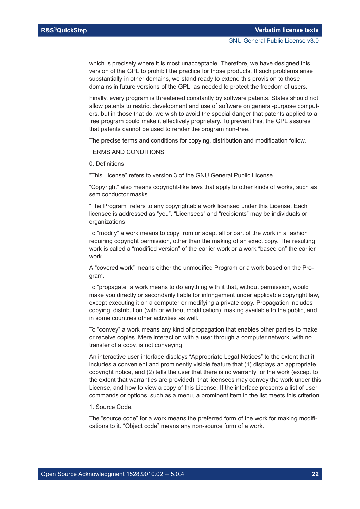which is precisely where it is most unacceptable. Therefore, we have designed this version of the GPL to prohibit the practice for those products. If such problems arise substantially in other domains, we stand ready to extend this provision to those domains in future versions of the GPL, as needed to protect the freedom of users.

Finally, every program is threatened constantly by software patents. States should not allow patents to restrict development and use of software on general-purpose computers, but in those that do, we wish to avoid the special danger that patents applied to a free program could make it effectively proprietary. To prevent this, the GPL assures that patents cannot be used to render the program non-free.

The precise terms and conditions for copying, distribution and modification follow.

TERMS AND CONDITIONS

0. Definitions.

"This License" refers to version 3 of the GNU General Public License.

"Copyright" also means copyright-like laws that apply to other kinds of works, such as semiconductor masks.

"The Program" refers to any copyrightable work licensed under this License. Each licensee is addressed as "you". "Licensees" and "recipients" may be individuals or organizations.

To "modify" a work means to copy from or adapt all or part of the work in a fashion requiring copyright permission, other than the making of an exact copy. The resulting work is called a "modified version" of the earlier work or a work "based on" the earlier work.

A "covered work" means either the unmodified Program or a work based on the Program.

To "propagate" a work means to do anything with it that, without permission, would make you directly or secondarily liable for infringement under applicable copyright law, except executing it on a computer or modifying a private copy. Propagation includes copying, distribution (with or without modification), making available to the public, and in some countries other activities as well.

To "convey" a work means any kind of propagation that enables other parties to make or receive copies. Mere interaction with a user through a computer network, with no transfer of a copy, is not conveying.

An interactive user interface displays "Appropriate Legal Notices" to the extent that it includes a convenient and prominently visible feature that (1) displays an appropriate copyright notice, and (2) tells the user that there is no warranty for the work (except to the extent that warranties are provided), that licensees may convey the work under this License, and how to view a copy of this License. If the interface presents a list of user commands or options, such as a menu, a prominent item in the list meets this criterion.

1. Source Code.

The "source code" for a work means the preferred form of the work for making modifications to it. "Object code" means any non-source form of a work.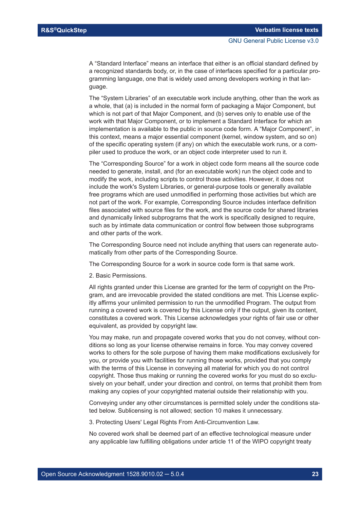A "Standard Interface" means an interface that either is an official standard defined by a recognized standards body, or, in the case of interfaces specified for a particular programming language, one that is widely used among developers working in that language.

The "System Libraries" of an executable work include anything, other than the work as a whole, that (a) is included in the normal form of packaging a Major Component, but which is not part of that Major Component, and (b) serves only to enable use of the work with that Major Component, or to implement a Standard Interface for which an implementation is available to the public in source code form. A "Major Component", in this context, means a major essential component (kernel, window system, and so on) of the specific operating system (if any) on which the executable work runs, or a compiler used to produce the work, or an object code interpreter used to run it.

The "Corresponding Source" for a work in object code form means all the source code needed to generate, install, and (for an executable work) run the object code and to modify the work, including scripts to control those activities. However, it does not include the work's System Libraries, or general-purpose tools or generally available free programs which are used unmodified in performing those activities but which are not part of the work. For example, Corresponding Source includes interface definition files associated with source files for the work, and the source code for shared libraries and dynamically linked subprograms that the work is specifically designed to require, such as by intimate data communication or control flow between those subprograms and other parts of the work.

The Corresponding Source need not include anything that users can regenerate automatically from other parts of the Corresponding Source.

The Corresponding Source for a work in source code form is that same work.

2. Basic Permissions.

All rights granted under this License are granted for the term of copyright on the Program, and are irrevocable provided the stated conditions are met. This License explicitly affirms your unlimited permission to run the unmodified Program. The output from running a covered work is covered by this License only if the output, given its content, constitutes a covered work. This License acknowledges your rights of fair use or other equivalent, as provided by copyright law.

You may make, run and propagate covered works that you do not convey, without conditions so long as your license otherwise remains in force. You may convey covered works to others for the sole purpose of having them make modifications exclusively for you, or provide you with facilities for running those works, provided that you comply with the terms of this License in conveying all material for which you do not control copyright. Those thus making or running the covered works for you must do so exclusively on your behalf, under your direction and control, on terms that prohibit them from making any copies of your copyrighted material outside their relationship with you.

Conveying under any other circumstances is permitted solely under the conditions stated below. Sublicensing is not allowed; section 10 makes it unnecessary.

3. Protecting Users' Legal Rights From Anti-Circumvention Law.

No covered work shall be deemed part of an effective technological measure under any applicable law fulfilling obligations under article 11 of the WIPO copyright treaty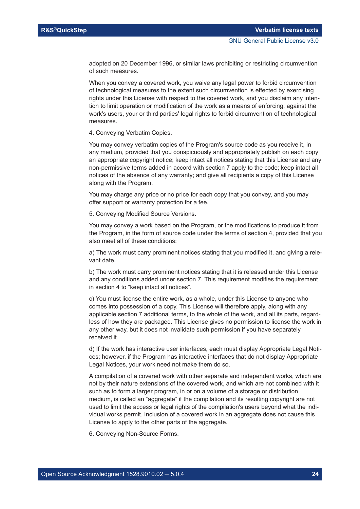adopted on 20 December 1996, or similar laws prohibiting or restricting circumvention of such measures.

When you convey a covered work, you waive any legal power to forbid circumvention of technological measures to the extent such circumvention is effected by exercising rights under this License with respect to the covered work, and you disclaim any intention to limit operation or modification of the work as a means of enforcing, against the work's users, your or third parties' legal rights to forbid circumvention of technological measures.

4. Conveying Verbatim Copies.

You may convey verbatim copies of the Program's source code as you receive it, in any medium, provided that you conspicuously and appropriately publish on each copy an appropriate copyright notice; keep intact all notices stating that this License and any non-permissive terms added in accord with section 7 apply to the code; keep intact all notices of the absence of any warranty; and give all recipients a copy of this License along with the Program.

You may charge any price or no price for each copy that you convey, and you may offer support or warranty protection for a fee.

5. Conveying Modified Source Versions.

You may convey a work based on the Program, or the modifications to produce it from the Program, in the form of source code under the terms of section 4, provided that you also meet all of these conditions:

a) The work must carry prominent notices stating that you modified it, and giving a relevant date.

b) The work must carry prominent notices stating that it is released under this License and any conditions added under section 7. This requirement modifies the requirement in section 4 to "keep intact all notices".

c) You must license the entire work, as a whole, under this License to anyone who comes into possession of a copy. This License will therefore apply, along with any applicable section 7 additional terms, to the whole of the work, and all its parts, regardless of how they are packaged. This License gives no permission to license the work in any other way, but it does not invalidate such permission if you have separately received it.

d) If the work has interactive user interfaces, each must display Appropriate Legal Notices; however, if the Program has interactive interfaces that do not display Appropriate Legal Notices, your work need not make them do so.

A compilation of a covered work with other separate and independent works, which are not by their nature extensions of the covered work, and which are not combined with it such as to form a larger program, in or on a volume of a storage or distribution medium, is called an "aggregate" if the compilation and its resulting copyright are not used to limit the access or legal rights of the compilation's users beyond what the individual works permit. Inclusion of a covered work in an aggregate does not cause this License to apply to the other parts of the aggregate.

6. Conveying Non-Source Forms.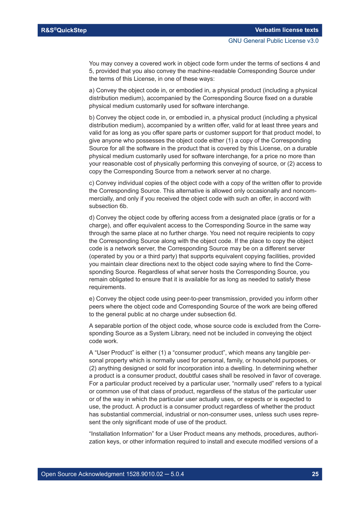You may convey a covered work in object code form under the terms of sections 4 and 5, provided that you also convey the machine-readable Corresponding Source under the terms of this License, in one of these ways:

a) Convey the object code in, or embodied in, a physical product (including a physical distribution medium), accompanied by the Corresponding Source fixed on a durable physical medium customarily used for software interchange.

b) Convey the object code in, or embodied in, a physical product (including a physical distribution medium), accompanied by a written offer, valid for at least three years and valid for as long as you offer spare parts or customer support for that product model, to give anyone who possesses the object code either (1) a copy of the Corresponding Source for all the software in the product that is covered by this License, on a durable physical medium customarily used for software interchange, for a price no more than your reasonable cost of physically performing this conveying of source, or (2) access to copy the Corresponding Source from a network server at no charge.

c) Convey individual copies of the object code with a copy of the written offer to provide the Corresponding Source. This alternative is allowed only occasionally and noncommercially, and only if you received the object code with such an offer, in accord with subsection 6b.

d) Convey the object code by offering access from a designated place (gratis or for a charge), and offer equivalent access to the Corresponding Source in the same way through the same place at no further charge. You need not require recipients to copy the Corresponding Source along with the object code. If the place to copy the object code is a network server, the Corresponding Source may be on a different server (operated by you or a third party) that supports equivalent copying facilities, provided you maintain clear directions next to the object code saying where to find the Corresponding Source. Regardless of what server hosts the Corresponding Source, you remain obligated to ensure that it is available for as long as needed to satisfy these requirements.

e) Convey the object code using peer-to-peer transmission, provided you inform other peers where the object code and Corresponding Source of the work are being offered to the general public at no charge under subsection 6d.

A separable portion of the object code, whose source code is excluded from the Corresponding Source as a System Library, need not be included in conveying the object code work.

A "User Product" is either (1) a "consumer product", which means any tangible personal property which is normally used for personal, family, or household purposes, or (2) anything designed or sold for incorporation into a dwelling. In determining whether a product is a consumer product, doubtful cases shall be resolved in favor of coverage. For a particular product received by a particular user, "normally used" refers to a typical or common use of that class of product, regardless of the status of the particular user or of the way in which the particular user actually uses, or expects or is expected to use, the product. A product is a consumer product regardless of whether the product has substantial commercial, industrial or non-consumer uses, unless such uses represent the only significant mode of use of the product.

"Installation Information" for a User Product means any methods, procedures, authorization keys, or other information required to install and execute modified versions of a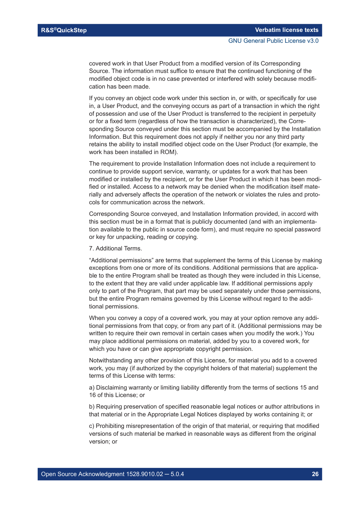covered work in that User Product from a modified version of its Corresponding Source. The information must suffice to ensure that the continued functioning of the modified object code is in no case prevented or interfered with solely because modification has been made.

If you convey an object code work under this section in, or with, or specifically for use in, a User Product, and the conveying occurs as part of a transaction in which the right of possession and use of the User Product is transferred to the recipient in perpetuity or for a fixed term (regardless of how the transaction is characterized), the Corresponding Source conveyed under this section must be accompanied by the Installation Information. But this requirement does not apply if neither you nor any third party retains the ability to install modified object code on the User Product (for example, the work has been installed in ROM).

The requirement to provide Installation Information does not include a requirement to continue to provide support service, warranty, or updates for a work that has been modified or installed by the recipient, or for the User Product in which it has been modified or installed. Access to a network may be denied when the modification itself materially and adversely affects the operation of the network or violates the rules and protocols for communication across the network.

Corresponding Source conveyed, and Installation Information provided, in accord with this section must be in a format that is publicly documented (and with an implementation available to the public in source code form), and must require no special password or key for unpacking, reading or copying.

7. Additional Terms.

"Additional permissions" are terms that supplement the terms of this License by making exceptions from one or more of its conditions. Additional permissions that are applicable to the entire Program shall be treated as though they were included in this License, to the extent that they are valid under applicable law. If additional permissions apply only to part of the Program, that part may be used separately under those permissions, but the entire Program remains governed by this License without regard to the additional permissions.

When you convey a copy of a covered work, you may at your option remove any additional permissions from that copy, or from any part of it. (Additional permissions may be written to require their own removal in certain cases when you modify the work.) You may place additional permissions on material, added by you to a covered work, for which you have or can give appropriate copyright permission.

Notwithstanding any other provision of this License, for material you add to a covered work, you may (if authorized by the copyright holders of that material) supplement the terms of this License with terms:

a) Disclaiming warranty or limiting liability differently from the terms of sections 15 and 16 of this License; or

b) Requiring preservation of specified reasonable legal notices or author attributions in that material or in the Appropriate Legal Notices displayed by works containing it; or

c) Prohibiting misrepresentation of the origin of that material, or requiring that modified versions of such material be marked in reasonable ways as different from the original version; or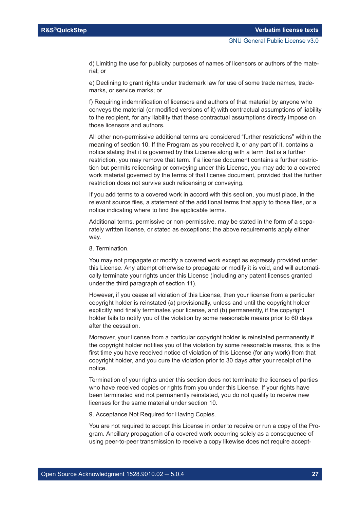d) Limiting the use for publicity purposes of names of licensors or authors of the material; or

e) Declining to grant rights under trademark law for use of some trade names, trademarks, or service marks; or

f) Requiring indemnification of licensors and authors of that material by anyone who conveys the material (or modified versions of it) with contractual assumptions of liability to the recipient, for any liability that these contractual assumptions directly impose on those licensors and authors.

All other non-permissive additional terms are considered "further restrictions" within the meaning of section 10. If the Program as you received it, or any part of it, contains a notice stating that it is governed by this License along with a term that is a further restriction, you may remove that term. If a license document contains a further restriction but permits relicensing or conveying under this License, you may add to a covered work material governed by the terms of that license document, provided that the further restriction does not survive such relicensing or conveying.

If you add terms to a covered work in accord with this section, you must place, in the relevant source files, a statement of the additional terms that apply to those files, or a notice indicating where to find the applicable terms.

Additional terms, permissive or non-permissive, may be stated in the form of a separately written license, or stated as exceptions; the above requirements apply either way.

8. Termination.

You may not propagate or modify a covered work except as expressly provided under this License. Any attempt otherwise to propagate or modify it is void, and will automatically terminate your rights under this License (including any patent licenses granted under the third paragraph of section 11).

However, if you cease all violation of this License, then your license from a particular copyright holder is reinstated (a) provisionally, unless and until the copyright holder explicitly and finally terminates your license, and (b) permanently, if the copyright holder fails to notify you of the violation by some reasonable means prior to 60 days after the cessation.

Moreover, your license from a particular copyright holder is reinstated permanently if the copyright holder notifies you of the violation by some reasonable means, this is the first time you have received notice of violation of this License (for any work) from that copyright holder, and you cure the violation prior to 30 days after your receipt of the notice.

Termination of your rights under this section does not terminate the licenses of parties who have received copies or rights from you under this License. If your rights have been terminated and not permanently reinstated, you do not qualify to receive new licenses for the same material under section 10.

9. Acceptance Not Required for Having Copies.

You are not required to accept this License in order to receive or run a copy of the Program. Ancillary propagation of a covered work occurring solely as a consequence of using peer-to-peer transmission to receive a copy likewise does not require accept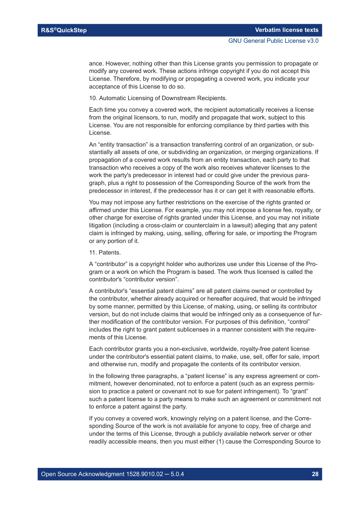ance. However, nothing other than this License grants you permission to propagate or modify any covered work. These actions infringe copyright if you do not accept this License. Therefore, by modifying or propagating a covered work, you indicate your acceptance of this License to do so.

10. Automatic Licensing of Downstream Recipients.

Each time you convey a covered work, the recipient automatically receives a license from the original licensors, to run, modify and propagate that work, subject to this License. You are not responsible for enforcing compliance by third parties with this License.

An "entity transaction" is a transaction transferring control of an organization, or substantially all assets of one, or subdividing an organization, or merging organizations. If propagation of a covered work results from an entity transaction, each party to that transaction who receives a copy of the work also receives whatever licenses to the work the party's predecessor in interest had or could give under the previous paragraph, plus a right to possession of the Corresponding Source of the work from the predecessor in interest, if the predecessor has it or can get it with reasonable efforts.

You may not impose any further restrictions on the exercise of the rights granted or affirmed under this License. For example, you may not impose a license fee, royalty, or other charge for exercise of rights granted under this License, and you may not initiate litigation (including a cross-claim or counterclaim in a lawsuit) alleging that any patent claim is infringed by making, using, selling, offering for sale, or importing the Program or any portion of it.

11. Patents.

A "contributor" is a copyright holder who authorizes use under this License of the Program or a work on which the Program is based. The work thus licensed is called the contributor's "contributor version".

A contributor's "essential patent claims" are all patent claims owned or controlled by the contributor, whether already acquired or hereafter acquired, that would be infringed by some manner, permitted by this License, of making, using, or selling its contributor version, but do not include claims that would be infringed only as a consequence of further modification of the contributor version. For purposes of this definition, "control" includes the right to grant patent sublicenses in a manner consistent with the requirements of this License.

Each contributor grants you a non-exclusive, worldwide, royalty-free patent license under the contributor's essential patent claims, to make, use, sell, offer for sale, import and otherwise run, modify and propagate the contents of its contributor version.

In the following three paragraphs, a "patent license" is any express agreement or commitment, however denominated, not to enforce a patent (such as an express permission to practice a patent or covenant not to sue for patent infringement). To "grant" such a patent license to a party means to make such an agreement or commitment not to enforce a patent against the party.

If you convey a covered work, knowingly relying on a patent license, and the Corresponding Source of the work is not available for anyone to copy, free of charge and under the terms of this License, through a publicly available network server or other readily accessible means, then you must either (1) cause the Corresponding Source to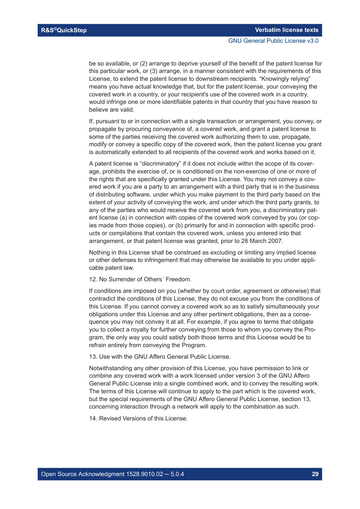be so available, or (2) arrange to deprive yourself of the benefit of the patent license for this particular work, or (3) arrange, in a manner consistent with the requirements of this License, to extend the patent license to downstream recipients. "Knowingly relying" means you have actual knowledge that, but for the patent license, your conveying the covered work in a country, or your recipient's use of the covered work in a country, would infringe one or more identifiable patents in that country that you have reason to believe are valid.

If, pursuant to or in connection with a single transaction or arrangement, you convey, or propagate by procuring conveyance of, a covered work, and grant a patent license to some of the parties receiving the covered work authorizing them to use, propagate, modify or convey a specific copy of the covered work, then the patent license you grant is automatically extended to all recipients of the covered work and works based on it.

A patent license is "discriminatory" if it does not include within the scope of its coverage, prohibits the exercise of, or is conditioned on the non-exercise of one or more of the rights that are specifically granted under this License. You may not convey a covered work if you are a party to an arrangement with a third party that is in the business of distributing software, under which you make payment to the third party based on the extent of your activity of conveying the work, and under which the third party grants, to any of the parties who would receive the covered work from you, a discriminatory patent license (a) in connection with copies of the covered work conveyed by you (or copies made from those copies), or (b) primarily for and in connection with specific products or compilations that contain the covered work, unless you entered into that arrangement, or that patent license was granted, prior to 28 March 2007.

Nothing in this License shall be construed as excluding or limiting any implied license or other defenses to infringement that may otherwise be available to you under applicable patent law.

12. No Surrender of Others´ Freedom.

If conditions are imposed on you (whether by court order, agreement or otherwise) that contradict the conditions of this License, they do not excuse you from the conditions of this License. If you cannot convey a covered work so as to satisfy simultaneously your obligations under this License and any other pertinent obligations, then as a consequence you may not convey it at all. For example, if you agree to terms that obligate you to collect a royalty for further conveying from those to whom you convey the Program, the only way you could satisfy both those terms and this License would be to refrain entirely from conveying the Program.

13. Use with the GNU Affero General Public License.

Notwithstanding any other provision of this License, you have permission to link or combine any covered work with a work licensed under version 3 of the GNU Affero General Public License into a single combined work, and to convey the resulting work. The terms of this License will continue to apply to the part which is the covered work, but the special requirements of the GNU Affero General Public License, section 13, concerning interaction through a network will apply to the combination as such.

14. Revised Versions of this License.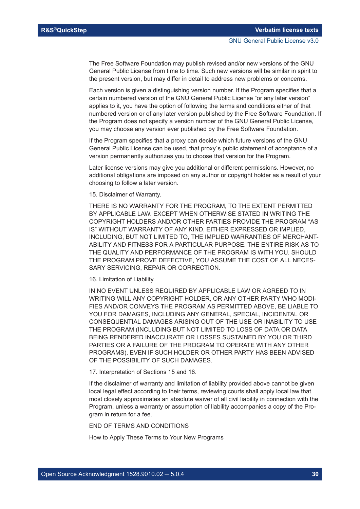The Free Software Foundation may publish revised and/or new versions of the GNU General Public License from time to time. Such new versions will be similar in spirit to the present version, but may differ in detail to address new problems or concerns.

Each version is given a distinguishing version number. If the Program specifies that a certain numbered version of the GNU General Public License "or any later version" applies to it, you have the option of following the terms and conditions either of that numbered version or of any later version published by the Free Software Foundation. If the Program does not specify a version number of the GNU General Public License, you may choose any version ever published by the Free Software Foundation.

If the Program specifies that a proxy can decide which future versions of the GNU General Public License can be used, that proxy´s public statement of acceptance of a version permanently authorizes you to choose that version for the Program.

Later license versions may give you additional or different permissions. However, no additional obligations are imposed on any author or copyright holder as a result of your choosing to follow a later version.

15. Disclaimer of Warranty.

THERE IS NO WARRANTY FOR THE PROGRAM, TO THE EXTENT PERMITTED BY APPLICABLE LAW. EXCEPT WHEN OTHERWISE STATED IN WRITING THE COPYRIGHT HOLDERS AND/OR OTHER PARTIES PROVIDE THE PROGRAM "AS IS" WITHOUT WARRANTY OF ANY KIND, EITHER EXPRESSED OR IMPLIED, INCLUDING, BUT NOT LIMITED TO, THE IMPLIED WARRANTIES OF MERCHANT-ABILITY AND FITNESS FOR A PARTICULAR PURPOSE. THE ENTIRE RISK AS TO THE QUALITY AND PERFORMANCE OF THE PROGRAM IS WITH YOU. SHOULD THE PROGRAM PROVE DEFECTIVE, YOU ASSUME THE COST OF ALL NECES-SARY SERVICING, REPAIR OR CORRECTION.

16. Limitation of Liability.

IN NO EVENT UNLESS REQUIRED BY APPLICABLE LAW OR AGREED TO IN WRITING WILL ANY COPYRIGHT HOLDER, OR ANY OTHER PARTY WHO MODI-FIES AND/OR CONVEYS THE PROGRAM AS PERMITTED ABOVE, BE LIABLE TO YOU FOR DAMAGES, INCLUDING ANY GENERAL, SPECIAL, INCIDENTAL OR CONSEQUENTIAL DAMAGES ARISING OUT OF THE USE OR INABILITY TO USE THE PROGRAM (INCLUDING BUT NOT LIMITED TO LOSS OF DATA OR DATA BEING RENDERED INACCURATE OR LOSSES SUSTAINED BY YOU OR THIRD PARTIES OR A FAILURE OF THE PROGRAM TO OPERATE WITH ANY OTHER PROGRAMS), EVEN IF SUCH HOLDER OR OTHER PARTY HAS BEEN ADVISED OF THE POSSIBILITY OF SUCH DAMAGES.

17. Interpretation of Sections 15 and 16.

If the disclaimer of warranty and limitation of liability provided above cannot be given local legal effect according to their terms, reviewing courts shall apply local law that most closely approximates an absolute waiver of all civil liability in connection with the Program, unless a warranty or assumption of liability accompanies a copy of the Program in return for a fee.

END OF TERMS AND CONDITIONS

How to Apply These Terms to Your New Programs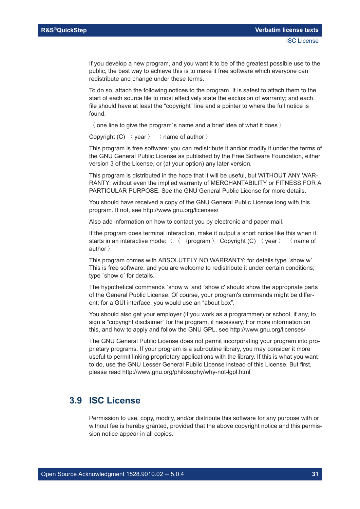<span id="page-30-0"></span>If you develop a new program, and you want it to be of the greatest possible use to the public, the best way to achieve this is to make it free software which everyone can redistribute and change under these terms.

To do so, attach the following notices to the program. It is safest to attach them to the start of each source file to most effectively state the exclusion of warranty; and each file should have at least the "copyright" line and a pointer to where the full notice is found.

 $\langle$  one line to give the program's name and a brief idea of what it does  $\rangle$ 

Copyright  $(C) \langle \text{year} \rangle \langle \text{name of author} \rangle$ 

This program is free software: you can redistribute it and/or modify it under the terms of the GNU General Public License as published by the Free Software Foundation, either version 3 of the License, or (at your option) any later version.

This program is distributed in the hope that it will be useful, but WITHOUT ANY WAR-RANTY; without even the implied warranty of MERCHANTABILITY or FITNESS FOR A PARTICULAR PURPOSE. See the GNU General Public License for more details.

You should have received a copy of the GNU General Public License long with this program. If not, see http://www.gnu.org/licenses/

Also add information on how to contact you by electronic and paper mail.

If the program does terminal interaction, make it output a short notice like this when it starts in an interactive mode:  $\langle \langle \rangle$   $\langle$  program  $\rangle$  Copyright (C)  $\langle$  year  $\rangle$   $\langle$  name of author 〉

This program comes with ABSOLUTELY NO WARRANTY; for details type `show w´. This is free software, and you are welcome to redistribute it under certain conditions; type `show c´ for details.

The hypothetical commands `show w' and `show c' should show the appropriate parts of the General Public License. Of course, your program's commands might be different; for a GUI interface, you would use an "about box".

You should also get your employer (if you work as a programmer) or school, if any, to sign a "copyright disclaimer" for the program, if necessary. For more information on this, and how to apply and follow the GNU GPL, see http://www.gnu.org/licenses/

The GNU General Public License does not permit incorporating your program into proprietary programs. If your program is a subroutine library, you may consider it more useful to permit linking proprietary applications with the library. If this is what you want to do, use the GNU Lesser General Public License instead of this License. But first, please read http://www.gnu.org/philosophy/why-not-lgpl.html

## **3.9 ISC License**

Permission to use, copy, modify, and/or distribute this software for any purpose with or without fee is hereby granted, provided that the above copyright notice and this permission notice appear in all copies.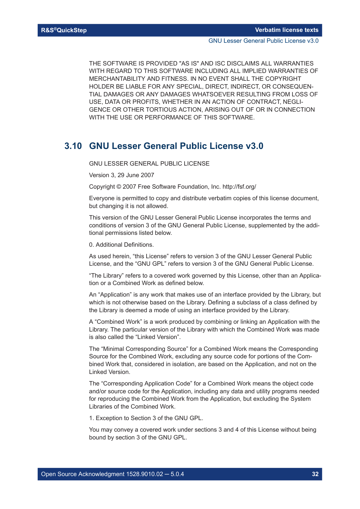<span id="page-31-0"></span>THE SOFTWARE IS PROVIDED "AS IS" AND ISC DISCLAIMS ALL WARRANTIES WITH REGARD TO THIS SOFTWARE INCLUDING ALL IMPLIED WARRANTIES OF MERCHANTABILITY AND FITNESS. IN NO EVENT SHALL THE COPYRIGHT HOLDER BE LIABLE FOR ANY SPECIAL, DIRECT, INDIRECT, OR CONSEQUEN-TIAL DAMAGES OR ANY DAMAGES WHATSOEVER RESULTING FROM LOSS OF USE, DATA OR PROFITS, WHETHER IN AN ACTION OF CONTRACT, NEGLI-GENCE OR OTHER TORTIOUS ACTION, ARISING OUT OF OR IN CONNECTION WITH THE USE OR PERFORMANCE OF THIS SOFTWARE.

#### **3.10 GNU Lesser General Public License v3.0**

GNU LESSER GENERAL PUBLIC LICENSE

Version 3, 29 June 2007

Copyright © 2007 Free Software Foundation, Inc. http://fsf.org/

Everyone is permitted to copy and distribute verbatim copies of this license document, but changing it is not allowed.

This version of the GNU Lesser General Public License incorporates the terms and conditions of version 3 of the GNU General Public License, supplemented by the additional permissions listed below.

0. Additional Definitions.

As used herein, "this License" refers to version 3 of the GNU Lesser General Public License, and the "GNU GPL" refers to version 3 of the GNU General Public License.

"The Library" refers to a covered work governed by this License, other than an Application or a Combined Work as defined below.

An "Application" is any work that makes use of an interface provided by the Library, but which is not otherwise based on the Library. Defining a subclass of a class defined by the Library is deemed a mode of using an interface provided by the Library.

A "Combined Work" is a work produced by combining or linking an Application with the Library. The particular version of the Library with which the Combined Work was made is also called the "Linked Version".

The "Minimal Corresponding Source" for a Combined Work means the Corresponding Source for the Combined Work, excluding any source code for portions of the Combined Work that, considered in isolation, are based on the Application, and not on the Linked Version.

The "Corresponding Application Code" for a Combined Work means the object code and/or source code for the Application, including any data and utility programs needed for reproducing the Combined Work from the Application, but excluding the System Libraries of the Combined Work.

1. Exception to Section 3 of the GNU GPL.

You may convey a covered work under sections 3 and 4 of this License without being bound by section 3 of the GNU GPL.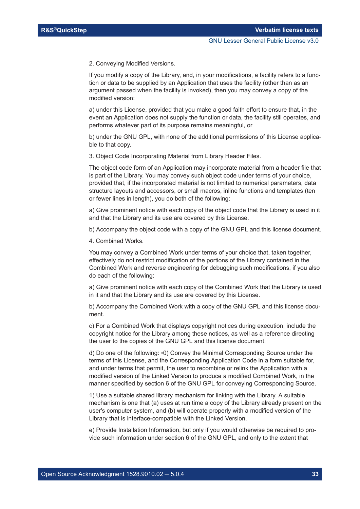2. Conveying Modified Versions.

If you modify a copy of the Library, and, in your modifications, a facility refers to a function or data to be supplied by an Application that uses the facility (other than as an argument passed when the facility is invoked), then you may convey a copy of the modified version:

a) under this License, provided that you make a good faith effort to ensure that, in the event an Application does not supply the function or data, the facility still operates, and performs whatever part of its purpose remains meaningful, or

b) under the GNU GPL, with none of the additional permissions of this License applicable to that copy.

3. Object Code Incorporating Material from Library Header Files.

The object code form of an Application may incorporate material from a header file that is part of the Library. You may convey such object code under terms of your choice, provided that, if the incorporated material is not limited to numerical parameters, data structure layouts and accessors, or small macros, inline functions and templates (ten or fewer lines in length), you do both of the following:

a) Give prominent notice with each copy of the object code that the Library is used in it and that the Library and its use are covered by this License.

b) Accompany the object code with a copy of the GNU GPL and this license document.

4. Combined Works.

You may convey a Combined Work under terms of your choice that, taken together, effectively do not restrict modification of the portions of the Library contained in the Combined Work and reverse engineering for debugging such modifications, if you also do each of the following:

a) Give prominent notice with each copy of the Combined Work that the Library is used in it and that the Library and its use are covered by this License.

b) Accompany the Combined Work with a copy of the GNU GPL and this license document.

c) For a Combined Work that displays copyright notices during execution, include the copyright notice for the Library among these notices, as well as a reference directing the user to the copies of the GNU GPL and this license document.

d) Do one of the following: ◦0) Convey the Minimal Corresponding Source under the terms of this License, and the Corresponding Application Code in a form suitable for, and under terms that permit, the user to recombine or relink the Application with a modified version of the Linked Version to produce a modified Combined Work, in the manner specified by section 6 of the GNU GPL for conveying Corresponding Source.

1) Use a suitable shared library mechanism for linking with the Library. A suitable mechanism is one that (a) uses at run time a copy of the Library already present on the user's computer system, and (b) will operate properly with a modified version of the Library that is interface-compatible with the Linked Version.

e) Provide Installation Information, but only if you would otherwise be required to provide such information under section 6 of the GNU GPL, and only to the extent that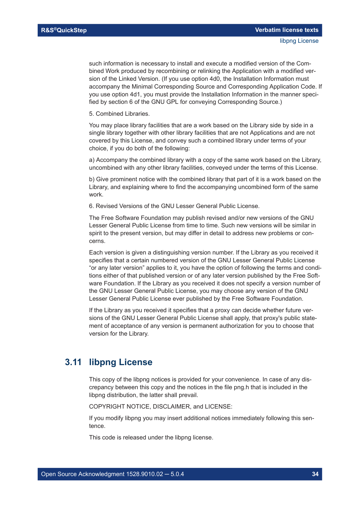<span id="page-33-0"></span>such information is necessary to install and execute a modified version of the Combined Work produced by recombining or relinking the Application with a modified version of the Linked Version. (If you use option 4d0, the Installation Information must accompany the Minimal Corresponding Source and Corresponding Application Code. If you use option 4d1, you must provide the Installation Information in the manner specified by section 6 of the GNU GPL for conveying Corresponding Source.)

5. Combined Libraries.

You may place library facilities that are a work based on the Library side by side in a single library together with other library facilities that are not Applications and are not covered by this License, and convey such a combined library under terms of your choice, if you do both of the following:

a) Accompany the combined library with a copy of the same work based on the Library, uncombined with any other library facilities, conveyed under the terms of this License.

b) Give prominent notice with the combined library that part of it is a work based on the Library, and explaining where to find the accompanying uncombined form of the same work.

6. Revised Versions of the GNU Lesser General Public License.

The Free Software Foundation may publish revised and/or new versions of the GNU Lesser General Public License from time to time. Such new versions will be similar in spirit to the present version, but may differ in detail to address new problems or concerns.

Each version is given a distinguishing version number. If the Library as you received it specifies that a certain numbered version of the GNU Lesser General Public License "or any later version" applies to it, you have the option of following the terms and conditions either of that published version or of any later version published by the Free Software Foundation. If the Library as you received it does not specify a version number of the GNU Lesser General Public License, you may choose any version of the GNU Lesser General Public License ever published by the Free Software Foundation.

If the Library as you received it specifies that a proxy can decide whether future versions of the GNU Lesser General Public License shall apply, that proxy's public statement of acceptance of any version is permanent authorization for you to choose that version for the Library.

## **3.11 libpng License**

This copy of the libpng notices is provided for your convenience. In case of any discrepancy between this copy and the notices in the file png.h that is included in the libpng distribution, the latter shall prevail.

COPYRIGHT NOTICE, DISCLAIMER, and LICENSE:

If you modify libpng you may insert additional notices immediately following this sentence.

This code is released under the libpng license.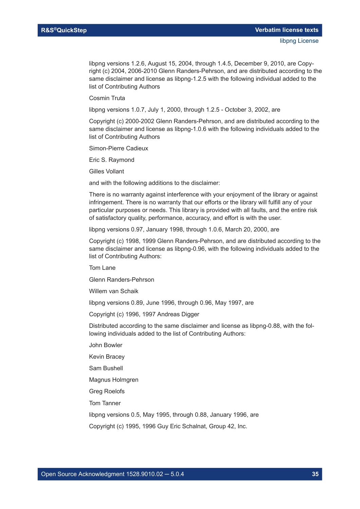libpng versions 1.2.6, August 15, 2004, through 1.4.5, December 9, 2010, are Copyright (c) 2004, 2006-2010 Glenn Randers-Pehrson, and are distributed according to the same disclaimer and license as libpng-1.2.5 with the following individual added to the list of Contributing Authors

Cosmin Truta

libpng versions 1.0.7, July 1, 2000, through 1.2.5 - October 3, 2002, are

Copyright (c) 2000-2002 Glenn Randers-Pehrson, and are distributed according to the same disclaimer and license as libpng-1.0.6 with the following individuals added to the list of Contributing Authors

Simon-Pierre Cadieux

Eric S. Raymond

Gilles Vollant

and with the following additions to the disclaimer:

There is no warranty against interference with your enjoyment of the library or against infringement. There is no warranty that our efforts or the library will fulfill any of your particular purposes or needs. This library is provided with all faults, and the entire risk of satisfactory quality, performance, accuracy, and effort is with the user.

libpng versions 0.97, January 1998, through 1.0.6, March 20, 2000, are

Copyright (c) 1998, 1999 Glenn Randers-Pehrson, and are distributed according to the same disclaimer and license as libpng-0.96, with the following individuals added to the list of Contributing Authors:

Tom Lane

Glenn Randers-Pehrson

Willem van Schaik

libpng versions 0.89, June 1996, through 0.96, May 1997, are

Copyright (c) 1996, 1997 Andreas Digger

Distributed according to the same disclaimer and license as libpng-0.88, with the following individuals added to the list of Contributing Authors:

John Bowler

Kevin Bracey

Sam Bushell

Magnus Holmgren

Greg Roelofs

Tom Tanner

libpng versions 0.5, May 1995, through 0.88, January 1996, are

Copyright (c) 1995, 1996 Guy Eric Schalnat, Group 42, Inc.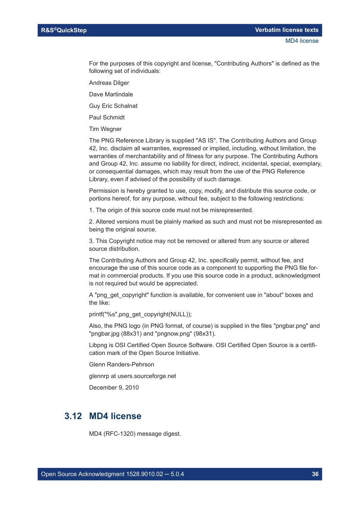<span id="page-35-0"></span>For the purposes of this copyright and license, "Contributing Authors" is defined as the following set of individuals:

Andreas Dilger

Dave Martindale

Guy Eric Schalnat

Paul Schmidt

Tim Wegner

The PNG Reference Library is supplied "AS IS". The Contributing Authors and Group 42, Inc. disclaim all warranties, expressed or implied, including, without limitation, the warranties of merchantability and of fitness for any purpose. The Contributing Authors and Group 42, Inc. assume no liability for direct, indirect, incidental, special, exemplary, or consequential damages, which may result from the use of the PNG Reference Library, even if advised of the possibility of such damage.

Permission is hereby granted to use, copy, modify, and distribute this source code, or portions hereof, for any purpose, without fee, subject to the following restrictions:

1. The origin of this source code must not be misrepresented.

2. Altered versions must be plainly marked as such and must not be misrepresented as being the original source.

3. This Copyright notice may not be removed or altered from any source or altered source distribution.

The Contributing Authors and Group 42, Inc. specifically permit, without fee, and encourage the use of this source code as a component to supporting the PNG file format in commercial products. If you use this source code in a product, acknowledgment is not required but would be appreciated.

A "png\_get\_copyright" function is available, for convenient use in "about" boxes and the like:

printf("%s",png\_get\_copyright(NULL));

Also, the PNG logo (in PNG format, of course) is supplied in the files "pngbar.png" and "pngbar.jpg (88x31) and "pngnow.png" (98x31).

Libpng is OSI Certified Open Source Software. OSI Certified Open Source is a certification mark of the Open Source Initiative.

Glenn Randers-Pehrson

glennrp at users.sourceforge.net

December 9, 2010

#### **3.12 MD4 license**

MD4 (RFC-1320) message digest.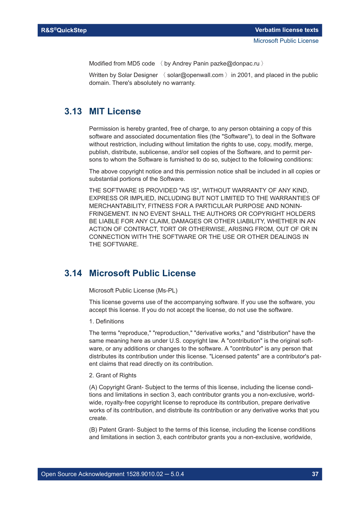<span id="page-36-0"></span>Modified from MD5 code  $\langle$  by Andrey Panin pazke@donpac.ru  $\rangle$ 

Written by Solar Designer  $\langle$  solar@openwall.com  $\rangle$  in 2001, and placed in the public domain. There's absolutely no warranty.

## **3.13 MIT License**

Permission is hereby granted, free of charge, to any person obtaining a copy of this software and associated documentation files (the "Software"), to deal in the Software without restriction, including without limitation the rights to use, copy, modify, merge, publish, distribute, sublicense, and/or sell copies of the Software, and to permit persons to whom the Software is furnished to do so, subject to the following conditions:

The above copyright notice and this permission notice shall be included in all copies or substantial portions of the Software.

THE SOFTWARE IS PROVIDED "AS IS", WITHOUT WARRANTY OF ANY KIND, EXPRESS OR IMPLIED, INCLUDING BUT NOT LIMITED TO THE WARRANTIES OF MERCHANTABILITY, FITNESS FOR A PARTICULAR PURPOSE AND NONIN-FRINGEMENT. IN NO EVENT SHALL THE AUTHORS OR COPYRIGHT HOLDERS BE LIABLE FOR ANY CLAIM, DAMAGES OR OTHER LIABILITY, WHETHER IN AN ACTION OF CONTRACT, TORT OR OTHERWISE, ARISING FROM, OUT OF OR IN CONNECTION WITH THE SOFTWARE OR THE USE OR OTHER DEALINGS IN THE SOFTWARE.

#### **3.14 Microsoft Public License**

Microsoft Public License (Ms-PL)

This license governs use of the accompanying software. If you use the software, you accept this license. If you do not accept the license, do not use the software.

1. Definitions

The terms "reproduce," "reproduction," "derivative works," and "distribution" have the same meaning here as under U.S. copyright law. A "contribution" is the original software, or any additions or changes to the software. A "contributor" is any person that distributes its contribution under this license. "Licensed patents" are a contributor's patent claims that read directly on its contribution.

#### 2. Grant of Rights

(A) Copyright Grant- Subject to the terms of this license, including the license conditions and limitations in section 3, each contributor grants you a non-exclusive, worldwide, royalty-free copyright license to reproduce its contribution, prepare derivative works of its contribution, and distribute its contribution or any derivative works that you create.

(B) Patent Grant- Subject to the terms of this license, including the license conditions and limitations in section 3, each contributor grants you a non-exclusive, worldwide,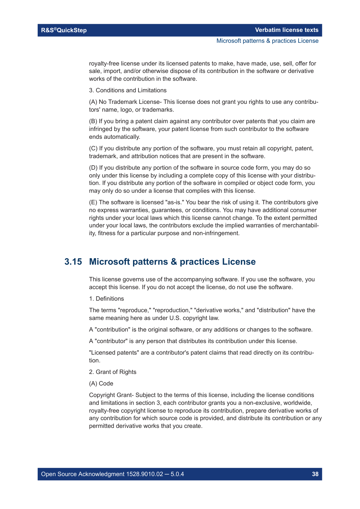<span id="page-37-0"></span>royalty-free license under its licensed patents to make, have made, use, sell, offer for sale, import, and/or otherwise dispose of its contribution in the software or derivative works of the contribution in the software.

3. Conditions and Limitations

(A) No Trademark License- This license does not grant you rights to use any contributors' name, logo, or trademarks.

(B) If you bring a patent claim against any contributor over patents that you claim are infringed by the software, your patent license from such contributor to the software ends automatically.

(C) If you distribute any portion of the software, you must retain all copyright, patent, trademark, and attribution notices that are present in the software.

(D) If you distribute any portion of the software in source code form, you may do so only under this license by including a complete copy of this license with your distribution. If you distribute any portion of the software in compiled or object code form, you may only do so under a license that complies with this license.

(E) The software is licensed "as-is." You bear the risk of using it. The contributors give no express warranties, guarantees, or conditions. You may have additional consumer rights under your local laws which this license cannot change. To the extent permitted under your local laws, the contributors exclude the implied warranties of merchantability, fitness for a particular purpose and non-infringement.

#### **3.15 Microsoft patterns & practices License**

This license governs use of the accompanying software. If you use the software, you accept this license. If you do not accept the license, do not use the software.

1. Definitions

The terms "reproduce," "reproduction," "derivative works," and "distribution" have the same meaning here as under U.S. copyright law.

A "contribution" is the original software, or any additions or changes to the software.

A "contributor" is any person that distributes its contribution under this license.

"Licensed patents" are a contributor's patent claims that read directly on its contribution.

2. Grant of Rights

(A) Code

Copyright Grant- Subject to the terms of this license, including the license conditions and limitations in section 3, each contributor grants you a non-exclusive, worldwide, royalty-free copyright license to reproduce its contribution, prepare derivative works of any contribution for which source code is provided, and distribute its contribution or any permitted derivative works that you create.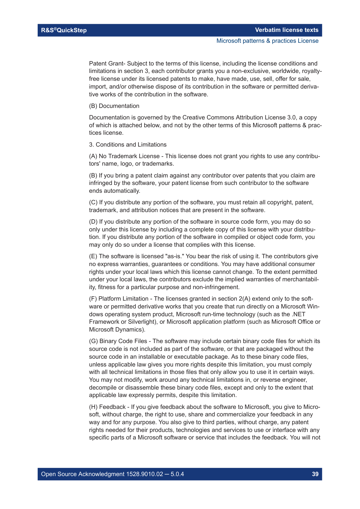Patent Grant- Subject to the terms of this license, including the license conditions and limitations in section 3, each contributor grants you a non-exclusive, worldwide, royaltyfree license under its licensed patents to make, have made, use, sell, offer for sale, import, and/or otherwise dispose of its contribution in the software or permitted derivative works of the contribution in the software.

(B) Documentation

Documentation is governed by the Creative Commons Attribution License 3.0, a copy of which is attached below, and not by the other terms of this Microsoft patterns & practices license.

3. Conditions and Limitations

(A) No Trademark License - This license does not grant you rights to use any contributors' name, logo, or trademarks.

(B) If you bring a patent claim against any contributor over patents that you claim are infringed by the software, your patent license from such contributor to the software ends automatically.

(C) If you distribute any portion of the software, you must retain all copyright, patent, trademark, and attribution notices that are present in the software.

(D) If you distribute any portion of the software in source code form, you may do so only under this license by including a complete copy of this license with your distribution. If you distribute any portion of the software in compiled or object code form, you may only do so under a license that complies with this license.

(E) The software is licensed "as-is." You bear the risk of using it. The contributors give no express warranties, guarantees or conditions. You may have additional consumer rights under your local laws which this license cannot change. To the extent permitted under your local laws, the contributors exclude the implied warranties of merchantability, fitness for a particular purpose and non-infringement.

(F) Platform Limitation - The licenses granted in section 2(A) extend only to the software or permitted derivative works that you create that run directly on a Microsoft Windows operating system product, Microsoft run-time technology (such as the .NET Framework or Silverlight), or Microsoft application platform (such as Microsoft Office or Microsoft Dynamics).

(G) Binary Code Files - The software may include certain binary code files for which its source code is not included as part of the software, or that are packaged without the source code in an installable or executable package. As to these binary code files, unless applicable law gives you more rights despite this limitation, you must comply with all technical limitations in those files that only allow you to use it in certain ways. You may not modify, work around any technical limitations in, or reverse engineer, decompile or disassemble these binary code files, except and only to the extent that applicable law expressly permits, despite this limitation.

(H) Feedback - If you give feedback about the software to Microsoft, you give to Microsoft, without charge, the right to use, share and commercialize your feedback in any way and for any purpose. You also give to third parties, without charge, any patent rights needed for their products, technologies and services to use or interface with any specific parts of a Microsoft software or service that includes the feedback. You will not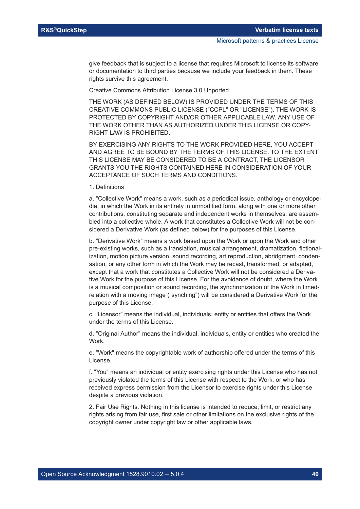give feedback that is subject to a license that requires Microsoft to license its software or documentation to third parties because we include your feedback in them. These rights survive this agreement.

#### Creative Commons Attribution License 3.0 Unported

THE WORK (AS DEFINED BELOW) IS PROVIDED UNDER THE TERMS OF THIS CREATIVE COMMONS PUBLIC LICENSE ("CCPL" OR "LICENSE"). THE WORK IS PROTECTED BY COPYRIGHT AND/OR OTHER APPLICABLE LAW. ANY USE OF THE WORK OTHER THAN AS AUTHORIZED UNDER THIS LICENSE OR COPY-RIGHT LAW IS PROHIBITED.

BY EXERCISING ANY RIGHTS TO THE WORK PROVIDED HERE, YOU ACCEPT AND AGREE TO BE BOUND BY THE TERMS OF THIS LICENSE. TO THE EXTENT THIS LICENSE MAY BE CONSIDERED TO BE A CONTRACT, THE LICENSOR GRANTS YOU THE RIGHTS CONTAINED HERE IN CONSIDERATION OF YOUR ACCEPTANCE OF SUCH TERMS AND CONDITIONS.

#### 1. Definitions

a. "Collective Work" means a work, such as a periodical issue, anthology or encyclopedia, in which the Work in its entirety in unmodified form, along with one or more other contributions, constituting separate and independent works in themselves, are assembled into a collective whole. A work that constitutes a Collective Work will not be considered a Derivative Work (as defined below) for the purposes of this License.

b. "Derivative Work" means a work based upon the Work or upon the Work and other pre-existing works, such as a translation, musical arrangement, dramatization, fictionalization, motion picture version, sound recording, art reproduction, abridgment, condensation, or any other form in which the Work may be recast, transformed, or adapted, except that a work that constitutes a Collective Work will not be considered a Derivative Work for the purpose of this License. For the avoidance of doubt, where the Work is a musical composition or sound recording, the synchronization of the Work in timedrelation with a moving image ("synching") will be considered a Derivative Work for the purpose of this License.

c. "Licensor" means the individual, individuals, entity or entities that offers the Work under the terms of this License.

d. "Original Author" means the individual, individuals, entity or entities who created the Work.

e. "Work" means the copyrightable work of authorship offered under the terms of this License.

f. "You" means an individual or entity exercising rights under this License who has not previously violated the terms of this License with respect to the Work, or who has received express permission from the Licensor to exercise rights under this License despite a previous violation.

2. Fair Use Rights. Nothing in this license is intended to reduce, limit, or restrict any rights arising from fair use, first sale or other limitations on the exclusive rights of the copyright owner under copyright law or other applicable laws.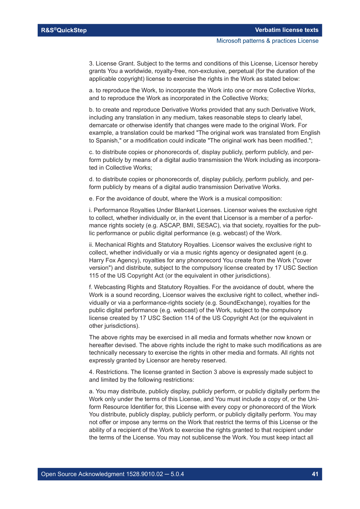3. License Grant. Subject to the terms and conditions of this License, Licensor hereby grants You a worldwide, royalty-free, non-exclusive, perpetual (for the duration of the applicable copyright) license to exercise the rights in the Work as stated below:

a. to reproduce the Work, to incorporate the Work into one or more Collective Works, and to reproduce the Work as incorporated in the Collective Works;

b. to create and reproduce Derivative Works provided that any such Derivative Work, including any translation in any medium, takes reasonable steps to clearly label, demarcate or otherwise identify that changes were made to the original Work. For example, a translation could be marked "The original work was translated from English to Spanish," or a modification could indicate "The original work has been modified.";

c. to distribute copies or phonorecords of, display publicly, perform publicly, and perform publicly by means of a digital audio transmission the Work including as incorporated in Collective Works;

d. to distribute copies or phonorecords of, display publicly, perform publicly, and perform publicly by means of a digital audio transmission Derivative Works.

e. For the avoidance of doubt, where the Work is a musical composition:

i. Performance Royalties Under Blanket Licenses. Licensor waives the exclusive right to collect, whether individually or, in the event that Licensor is a member of a performance rights society (e.g. ASCAP, BMI, SESAC), via that society, royalties for the public performance or public digital performance (e.g. webcast) of the Work.

ii. Mechanical Rights and Statutory Royalties. Licensor waives the exclusive right to collect, whether individually or via a music rights agency or designated agent (e.g. Harry Fox Agency), royalties for any phonorecord You create from the Work ("cover version") and distribute, subject to the compulsory license created by 17 USC Section 115 of the US Copyright Act (or the equivalent in other jurisdictions).

f. Webcasting Rights and Statutory Royalties. For the avoidance of doubt, where the Work is a sound recording, Licensor waives the exclusive right to collect, whether individually or via a performance-rights society (e.g. SoundExchange), royalties for the public digital performance (e.g. webcast) of the Work, subject to the compulsory license created by 17 USC Section 114 of the US Copyright Act (or the equivalent in other jurisdictions).

The above rights may be exercised in all media and formats whether now known or hereafter devised. The above rights include the right to make such modifications as are technically necessary to exercise the rights in other media and formats. All rights not expressly granted by Licensor are hereby reserved.

4. Restrictions. The license granted in Section 3 above is expressly made subject to and limited by the following restrictions:

a. You may distribute, publicly display, publicly perform, or publicly digitally perform the Work only under the terms of this License, and You must include a copy of, or the Uniform Resource Identifier for, this License with every copy or phonorecord of the Work You distribute, publicly display, publicly perform, or publicly digitally perform. You may not offer or impose any terms on the Work that restrict the terms of this License or the ability of a recipient of the Work to exercise the rights granted to that recipient under the terms of the License. You may not sublicense the Work. You must keep intact all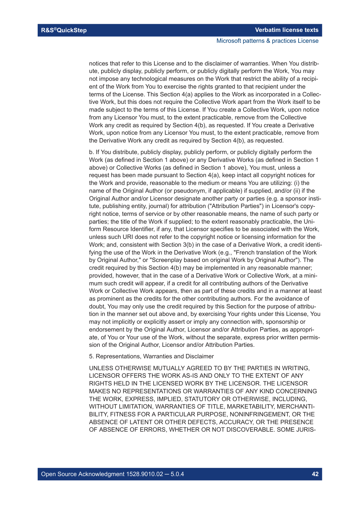notices that refer to this License and to the disclaimer of warranties. When You distribute, publicly display, publicly perform, or publicly digitally perform the Work, You may not impose any technological measures on the Work that restrict the ability of a recipient of the Work from You to exercise the rights granted to that recipient under the terms of the License. This Section 4(a) applies to the Work as incorporated in a Collective Work, but this does not require the Collective Work apart from the Work itself to be made subject to the terms of this License. If You create a Collective Work, upon notice from any Licensor You must, to the extent practicable, remove from the Collective Work any credit as required by Section 4(b), as requested. If You create a Derivative Work, upon notice from any Licensor You must, to the extent practicable, remove from the Derivative Work any credit as required by Section 4(b), as requested.

b. If You distribute, publicly display, publicly perform, or publicly digitally perform the Work (as defined in Section 1 above) or any Derivative Works (as defined in Section 1 above) or Collective Works (as defined in Section 1 above), You must, unless a request has been made pursuant to Section 4(a), keep intact all copyright notices for the Work and provide, reasonable to the medium or means You are utilizing: (i) the name of the Original Author (or pseudonym, if applicable) if supplied, and/or (ii) if the Original Author and/or Licensor designate another party or parties (e.g. a sponsor institute, publishing entity, journal) for attribution ("Attribution Parties") in Licensor's copyright notice, terms of service or by other reasonable means, the name of such party or parties; the title of the Work if supplied; to the extent reasonably practicable, the Uniform Resource Identifier, if any, that Licensor specifies to be associated with the Work, unless such URI does not refer to the copyright notice or licensing information for the Work; and, consistent with Section 3(b) in the case of a Derivative Work, a credit identifying the use of the Work in the Derivative Work (e.g., "French translation of the Work by Original Author," or "Screenplay based on original Work by Original Author"). The credit required by this Section 4(b) may be implemented in any reasonable manner; provided, however, that in the case of a Derivative Work or Collective Work, at a minimum such credit will appear, if a credit for all contributing authors of the Derivative Work or Collective Work appears, then as part of these credits and in a manner at least as prominent as the credits for the other contributing authors. For the avoidance of doubt, You may only use the credit required by this Section for the purpose of attribution in the manner set out above and, by exercising Your rights under this License, You may not implicitly or explicitly assert or imply any connection with, sponsorship or endorsement by the Original Author, Licensor and/or Attribution Parties, as appropriate, of You or Your use of the Work, without the separate, express prior written permission of the Original Author, Licensor and/or Attribution Parties.

#### 5. Representations, Warranties and Disclaimer

UNLESS OTHERWISE MUTUALLY AGREED TO BY THE PARTIES IN WRITING, LICENSOR OFFERS THE WORK AS-IS AND ONLY TO THE EXTENT OF ANY RIGHTS HELD IN THE LICENSED WORK BY THE LICENSOR. THE LICENSOR MAKES NO REPRESENTATIONS OR WARRANTIES OF ANY KIND CONCERNING THE WORK, EXPRESS, IMPLIED, STATUTORY OR OTHERWISE, INCLUDING, WITHOUT LIMITATION, WARRANTIES OF TITLE, MARKETABILITY, MERCHANTI-BILITY, FITNESS FOR A PARTICULAR PURPOSE, NONINFRINGEMENT, OR THE ABSENCE OF LATENT OR OTHER DEFECTS, ACCURACY, OR THE PRESENCE OF ABSENCE OF ERRORS, WHETHER OR NOT DISCOVERABLE. SOME JURIS-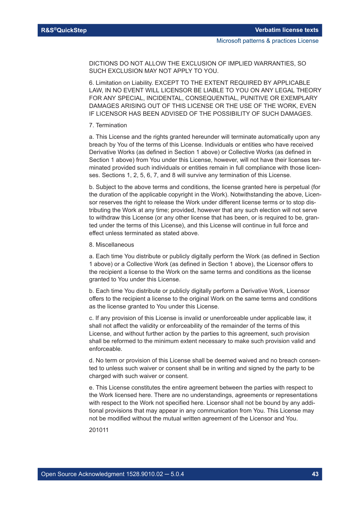DICTIONS DO NOT ALLOW THE EXCLUSION OF IMPLIED WARRANTIES, SO SUCH EXCLUSION MAY NOT APPLY TO YOU.

6. Limitation on Liability. EXCEPT TO THE EXTENT REQUIRED BY APPLICABLE LAW, IN NO EVENT WILL LICENSOR BE LIABLE TO YOU ON ANY LEGAL THEORY FOR ANY SPECIAL, INCIDENTAL, CONSEQUENTIAL, PUNITIVE OR EXEMPLARY DAMAGES ARISING OUT OF THIS LICENSE OR THE USE OF THE WORK, EVEN IF LICENSOR HAS BEEN ADVISED OF THE POSSIBILITY OF SUCH DAMAGES.

7. Termination

a. This License and the rights granted hereunder will terminate automatically upon any breach by You of the terms of this License. Individuals or entities who have received Derivative Works (as defined in Section 1 above) or Collective Works (as defined in Section 1 above) from You under this License, however, will not have their licenses terminated provided such individuals or entities remain in full compliance with those licenses. Sections 1, 2, 5, 6, 7, and 8 will survive any termination of this License.

b. Subject to the above terms and conditions, the license granted here is perpetual (for the duration of the applicable copyright in the Work). Notwithstanding the above, Licensor reserves the right to release the Work under different license terms or to stop distributing the Work at any time; provided, however that any such election will not serve to withdraw this License (or any other license that has been, or is required to be, granted under the terms of this License), and this License will continue in full force and effect unless terminated as stated above.

8. Miscellaneous

a. Each time You distribute or publicly digitally perform the Work (as defined in Section 1 above) or a Collective Work (as defined in Section 1 above), the Licensor offers to the recipient a license to the Work on the same terms and conditions as the license granted to You under this License.

b. Each time You distribute or publicly digitally perform a Derivative Work, Licensor offers to the recipient a license to the original Work on the same terms and conditions as the license granted to You under this License.

c. If any provision of this License is invalid or unenforceable under applicable law, it shall not affect the validity or enforceability of the remainder of the terms of this License, and without further action by the parties to this agreement, such provision shall be reformed to the minimum extent necessary to make such provision valid and enforceable.

d. No term or provision of this License shall be deemed waived and no breach consented to unless such waiver or consent shall be in writing and signed by the party to be charged with such waiver or consent.

e. This License constitutes the entire agreement between the parties with respect to the Work licensed here. There are no understandings, agreements or representations with respect to the Work not specified here. Licensor shall not be bound by any additional provisions that may appear in any communication from You. This License may not be modified without the mutual written agreement of the Licensor and You.

201011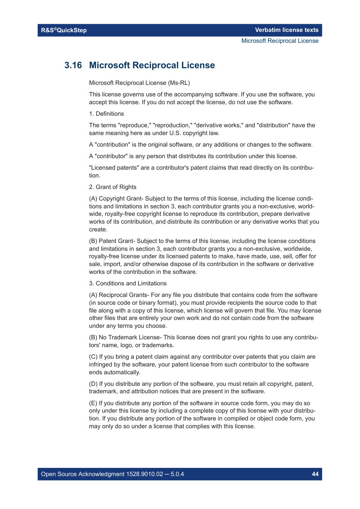## <span id="page-43-0"></span>**3.16 Microsoft Reciprocal License**

Microsoft Reciprocal License (Ms-RL)

This license governs use of the accompanying software. If you use the software, you accept this license. If you do not accept the license, do not use the software.

1. Definitions

The terms "reproduce," "reproduction," "derivative works," and "distribution" have the same meaning here as under U.S. copyright law.

A "contribution" is the original software, or any additions or changes to the software.

A "contributor" is any person that distributes its contribution under this license.

"Licensed patents" are a contributor's patent claims that read directly on its contribution.

2. Grant of Rights

(A) Copyright Grant- Subject to the terms of this license, including the license conditions and limitations in section 3, each contributor grants you a non-exclusive, worldwide, royalty-free copyright license to reproduce its contribution, prepare derivative works of its contribution, and distribute its contribution or any derivative works that you create.

(B) Patent Grant- Subject to the terms of this license, including the license conditions and limitations in section 3, each contributor grants you a non-exclusive, worldwide, royalty-free license under its licensed patents to make, have made, use, sell, offer for sale, import, and/or otherwise dispose of its contribution in the software or derivative works of the contribution in the software.

#### 3. Conditions and Limitations

(A) Reciprocal Grants- For any file you distribute that contains code from the software (in source code or binary format), you must provide recipients the source code to that file along with a copy of this license, which license will govern that file. You may license other files that are entirely your own work and do not contain code from the software under any terms you choose.

(B) No Trademark License- This license does not grant you rights to use any contributors' name, logo, or trademarks.

(C) If you bring a patent claim against any contributor over patents that you claim are infringed by the software, your patent license from such contributor to the software ends automatically.

(D) If you distribute any portion of the software, you must retain all copyright, patent, trademark, and attribution notices that are present in the software.

(E) If you distribute any portion of the software in source code form, you may do so only under this license by including a complete copy of this license with your distribution. If you distribute any portion of the software in compiled or object code form, you may only do so under a license that complies with this license.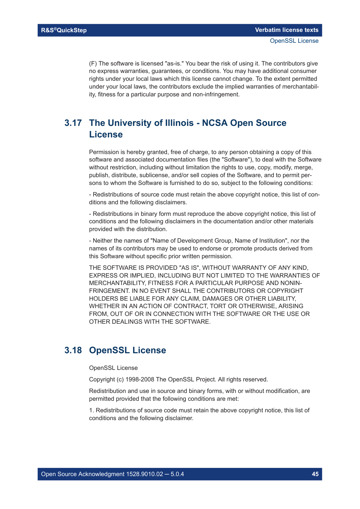<span id="page-44-0"></span>(F) The software is licensed "as-is." You bear the risk of using it. The contributors give no express warranties, guarantees, or conditions. You may have additional consumer rights under your local laws which this license cannot change. To the extent permitted under your local laws, the contributors exclude the implied warranties of merchantability, fitness for a particular purpose and non-infringement.

## **3.17 The University of Illinois - NCSA Open Source License**

Permission is hereby granted, free of charge, to any person obtaining a copy of this software and associated documentation files (the "Software"), to deal with the Software without restriction, including without limitation the rights to use, copy, modify, merge, publish, distribute, sublicense, and/or sell copies of the Software, and to permit persons to whom the Software is furnished to do so, subject to the following conditions:

- Redistributions of source code must retain the above copyright notice, this list of conditions and the following disclaimers.

- Redistributions in binary form must reproduce the above copyright notice, this list of conditions and the following disclaimers in the documentation and/or other materials provided with the distribution.

- Neither the names of "Name of Development Group, Name of Institution", nor the names of its contributors may be used to endorse or promote products derived from this Software without specific prior written permission.

THE SOFTWARE IS PROVIDED "AS IS", WITHOUT WARRANTY OF ANY KIND, EXPRESS OR IMPLIED, INCLUDING BUT NOT LIMITED TO THE WARRANTIES OF MERCHANTABILITY, FITNESS FOR A PARTICULAR PURPOSE AND NONIN-FRINGEMENT. IN NO EVENT SHALL THE CONTRIBUTORS OR COPYRIGHT HOLDERS BE LIABLE FOR ANY CLAIM, DAMAGES OR OTHER LIABILITY, WHETHER IN AN ACTION OF CONTRACT, TORT OR OTHERWISE, ARISING FROM, OUT OF OR IN CONNECTION WITH THE SOFTWARE OR THE USE OR OTHER DEALINGS WITH THE SOFTWARE.

#### **3.18 OpenSSL License**

OpenSSL License

Copyright (c) 1998-2008 The OpenSSL Project. All rights reserved.

Redistribution and use in source and binary forms, with or without modification, are permitted provided that the following conditions are met:

1. Redistributions of source code must retain the above copyright notice, this list of conditions and the following disclaimer.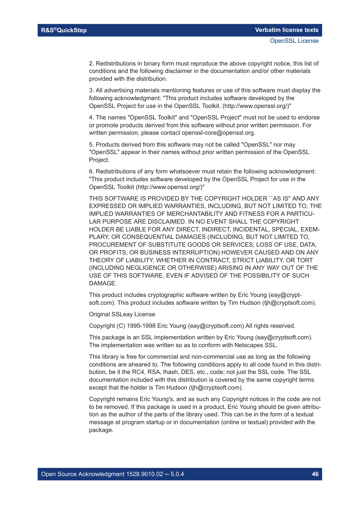2. Redistributions in binary form must reproduce the above copyright notice, this list of conditions and the following disclaimer in the documentation and/or other materials provided with the distribution.

3. All advertising materials mentioning features or use of this software must display the following acknowledgment: "This product includes software developed by the OpenSSL Project for use in the OpenSSL Toolkit. (http://www.openssl.org/)"

4. The names "OpenSSL Toolkit" and "OpenSSL Project" must not be used to endorse or promote products derived from this software without prior written permission. For written permission, please contact openssl-core@openssl.org.

5. Products derived from this software may not be called "OpenSSL" nor may "OpenSSL" appear in their names without prior written permission of the OpenSSL Project.

6. Redistributions of any form whatsoever must retain the following acknowledgment: "This product includes software developed by the OpenSSL Project for use in the OpenSSL Toolkit (http://www.openssl.org/)"

THIS SOFTWARE IS PROVIDED BY THE COPYRIGHT HOLDER ``AS IS'' AND ANY EXPRESSED OR IMPLIED WARRANTIES, INCLUDING, BUT NOT LIMITED TO, THE IMPLIED WARRANTIES OF MERCHANTABILITY AND FITNESS FOR A PARTICU-LAR PURPOSE ARE DISCLAIMED. IN NO EVENT SHALL THE COPYRIGHT HOLDER BE LIABLE FOR ANY DIRECT, INDIRECT, INCIDENTAL, SPECIAL, EXEM-PLARY, OR CONSEQUENTIAL DAMAGES (INCLUDING, BUT NOT LIMITED TO, PROCUREMENT OF SUBSTITUTE GOODS OR SERVICES; LOSS OF USE, DATA, OR PROFITS; OR BUSINESS INTERRUPTION) HOWEVER CAUSED AND ON ANY THEORY OF LIABILITY, WHETHER IN CONTRACT, STRICT LIABILITY, OR TORT (INCLUDING NEGLIGENCE OR OTHERWISE) ARISING IN ANY WAY OUT OF THE USE OF THIS SOFTWARE, EVEN IF ADVISED OF THE POSSIBILITY OF SUCH DAMAGE.

This product includes cryptographic software written by Eric Young (eay@cryptsoft.com). This product includes software written by Tim Hudson (tjh@cryptsoft.com).

Original SSLeay License

Copyright (C) 1995-1998 Eric Young (eay@cryptsoft.com) All rights reserved.

This package is an SSL implementation written by Eric Young (eay@cryptsoft.com). The implementation was written so as to conform with Netscapes SSL.

This library is free for commercial and non-commercial use as long as the following conditions are aheared to. The following conditions apply to all code found in this distribution, be it the RC4, RSA, lhash, DES, etc., code; not just the SSL code. The SSL documentation included with this distribution is covered by the same copyright terms except that the holder is Tim Hudson (tjh@cryptsoft.com).

Copyright remains Eric Young's, and as such any Copyright notices in the code are not to be removed. If this package is used in a product, Eric Young should be given attribution as the author of the parts of the library used. This can be in the form of a textual message at program startup or in documentation (online or textual) provided with the package.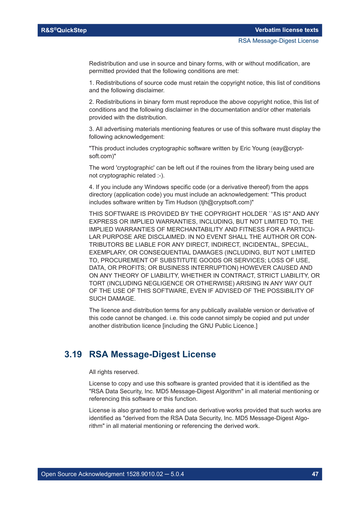<span id="page-46-0"></span>Redistribution and use in source and binary forms, with or without modification, are permitted provided that the following conditions are met:

1. Redistributions of source code must retain the copyright notice, this list of conditions and the following disclaimer.

2. Redistributions in binary form must reproduce the above copyright notice, this list of conditions and the following disclaimer in the documentation and/or other materials provided with the distribution.

3. All advertising materials mentioning features or use of this software must display the following acknowledgement:

"This product includes cryptographic software written by Eric Young (eay@cryptsoft.com)"

The word 'cryptographic' can be left out if the rouines from the library being used are not cryptographic related :-).

4. If you include any Windows specific code (or a derivative thereof) from the apps directory (application code) you must include an acknowledgement: "This product includes software written by Tim Hudson (tjh@cryptsoft.com)"

THIS SOFTWARE IS PROVIDED BY THE COPYRIGHT HOLDER ``AS IS'' AND ANY EXPRESS OR IMPLIED WARRANTIES, INCLUDING, BUT NOT LIMITED TO, THE IMPLIED WARRANTIES OF MERCHANTABILITY AND FITNESS FOR A PARTICU-LAR PURPOSE ARE DISCLAIMED. IN NO EVENT SHALL THE AUTHOR OR CON-TRIBUTORS BE LIABLE FOR ANY DIRECT, INDIRECT, INCIDENTAL, SPECIAL, EXEMPLARY, OR CONSEQUENTIAL DAMAGES (INCLUDING, BUT NOT LIMITED TO, PROCUREMENT OF SUBSTITUTE GOODS OR SERVICES; LOSS OF USE, DATA, OR PROFITS; OR BUSINESS INTERRUPTION) HOWEVER CAUSED AND ON ANY THEORY OF LIABILITY, WHETHER IN CONTRACT, STRICT LIABILITY, OR TORT (INCLUDING NEGLIGENCE OR OTHERWISE) ARISING IN ANY WAY OUT OF THE USE OF THIS SOFTWARE, EVEN IF ADVISED OF THE POSSIBILITY OF SUCH DAMAGE.

The licence and distribution terms for any publically available version or derivative of this code cannot be changed. i.e. this code cannot simply be copied and put under another distribution licence [including the GNU Public Licence.]

#### **3.19 RSA Message-Digest License**

All rights reserved.

License to copy and use this software is granted provided that it is identified as the "RSA Data Security, Inc. MD5 Message-Digest Algorithm" in all material mentioning or referencing this software or this function.

License is also granted to make and use derivative works provided that such works are identified as "derived from the RSA Data Security, Inc. MD5 Message-Digest Algorithm" in all material mentioning or referencing the derived work.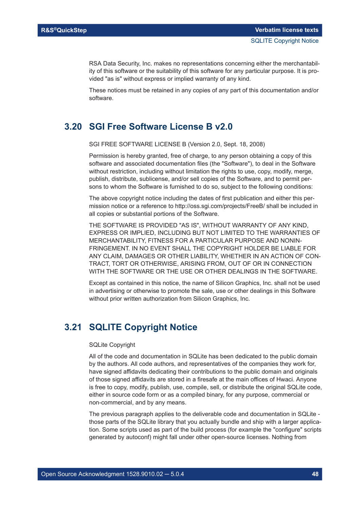<span id="page-47-0"></span>RSA Data Security, Inc. makes no representations concerning either the merchantability of this software or the suitability of this software for any particular purpose. It is provided "as is" without express or implied warranty of any kind.

These notices must be retained in any copies of any part of this documentation and/or software.

#### **3.20 SGI Free Software License B v2.0**

SGI FREE SOFTWARE LICENSE B (Version 2.0, Sept. 18, 2008)

Permission is hereby granted, free of charge, to any person obtaining a copy of this software and associated documentation files (the "Software"), to deal in the Software without restriction, including without limitation the rights to use, copy, modify, merge, publish, distribute, sublicense, and/or sell copies of the Software, and to permit persons to whom the Software is furnished to do so, subject to the following conditions:

The above copyright notice including the dates of first publication and either this permission notice or a reference to http://oss.sgi.com/projects/FreeB/ shall be included in all copies or substantial portions of the Software.

THE SOFTWARE IS PROVIDED "AS IS", WITHOUT WARRANTY OF ANY KIND, EXPRESS OR IMPLIED, INCLUDING BUT NOT LIMITED TO THE WARRANTIES OF MERCHANTABILITY, FITNESS FOR A PARTICULAR PURPOSE AND NONIN-FRINGEMENT. IN NO EVENT SHALL THE COPYRIGHT HOLDER BE LIABLE FOR ANY CLAIM, DAMAGES OR OTHER LIABILITY, WHETHER IN AN ACTION OF CON-TRACT, TORT OR OTHERWISE, ARISING FROM, OUT OF OR IN CONNECTION WITH THE SOFTWARE OR THE USE OR OTHER DEALINGS IN THE SOFTWARE.

Except as contained in this notice, the name of Silicon Graphics, Inc. shall not be used in advertising or otherwise to promote the sale, use or other dealings in this Software without prior written authorization from Silicon Graphics, Inc.

## **3.21 SQLITE Copyright Notice**

#### SQLite Copyright

All of the code and documentation in SQLite has been dedicated to the public domain by the authors. All code authors, and representatives of the companies they work for, have signed affidavits dedicating their contributions to the public domain and originals of those signed affidavits are stored in a firesafe at the main offices of Hwaci. Anyone is free to copy, modify, publish, use, compile, sell, or distribute the original SQLite code, either in source code form or as a compiled binary, for any purpose, commercial or non-commercial, and by any means.

The previous paragraph applies to the deliverable code and documentation in SQLite those parts of the SQLite library that you actually bundle and ship with a larger application. Some scripts used as part of the build process (for example the "configure" scripts generated by autoconf) might fall under other open-source licenses. Nothing from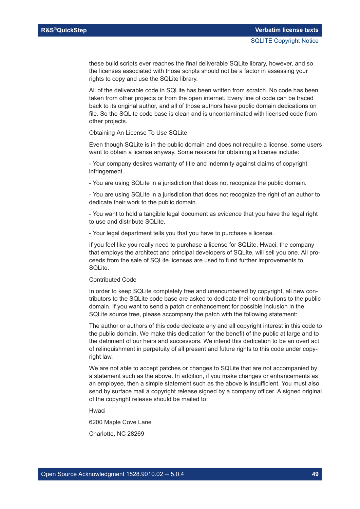these build scripts ever reaches the final deliverable SQLite library, however, and so the licenses associated with those scripts should not be a factor in assessing your rights to copy and use the SQLite library.

All of the deliverable code in SQLite has been written from scratch. No code has been taken from other projects or from the open internet. Every line of code can be traced back to its original author, and all of those authors have public domain dedications on file. So the SQLite code base is clean and is uncontaminated with licensed code from other projects.

Obtaining An License To Use SQLite

Even though SQLite is in the public domain and does not require a license, some users want to obtain a license anyway. Some reasons for obtaining a license include:

- Your company desires warranty of title and indemnity against claims of copyright infringement.

- You are using SQLite in a jurisdiction that does not recognize the public domain.

- You are using SQLite in a jurisdiction that does not recognize the right of an author to dedicate their work to the public domain.

- You want to hold a tangible legal document as evidence that you have the legal right to use and distribute SQLite.

- Your legal department tells you that you have to purchase a license.

If you feel like you really need to purchase a license for SQLite, Hwaci, the company that employs the architect and principal developers of SQLite, will sell you one. All proceeds from the sale of SQLite licenses are used to fund further improvements to SQLite.

#### Contributed Code

In order to keep SQLite completely free and unencumbered by copyright, all new contributors to the SQLite code base are asked to dedicate their contributions to the public domain. If you want to send a patch or enhancement for possible inclusion in the SQLite source tree, please accompany the patch with the following statement:

The author or authors of this code dedicate any and all copyright interest in this code to the public domain. We make this dedication for the benefit of the public at large and to the detriment of our heirs and successors. We intend this dedication to be an overt act of relinquishment in perpetuity of all present and future rights to this code under copyright law.

We are not able to accept patches or changes to SQLite that are not accompanied by a statement such as the above. In addition, if you make changes or enhancements as an employee, then a simple statement such as the above is insufficient. You must also send by surface mail a copyright release signed by a company officer. A signed original of the copyright release should be mailed to:

**Hwaci** 

6200 Maple Cove Lane

Charlotte, NC 28269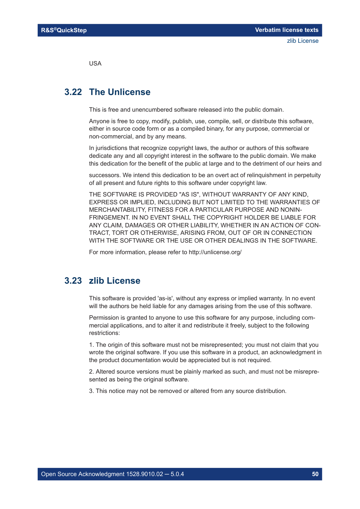<span id="page-49-0"></span>USA

### **3.22 The Unlicense**

This is free and unencumbered software released into the public domain.

Anyone is free to copy, modify, publish, use, compile, sell, or distribute this software, either in source code form or as a compiled binary, for any purpose, commercial or non-commercial, and by any means.

In jurisdictions that recognize copyright laws, the author or authors of this software dedicate any and all copyright interest in the software to the public domain. We make this dedication for the benefit of the public at large and to the detriment of our heirs and

successors. We intend this dedication to be an overt act of relinquishment in perpetuity of all present and future rights to this software under copyright law.

THE SOFTWARE IS PROVIDED "AS IS", WITHOUT WARRANTY OF ANY KIND, EXPRESS OR IMPLIED, INCLUDING BUT NOT LIMITED TO THE WARRANTIES OF MERCHANTABILITY, FITNESS FOR A PARTICULAR PURPOSE AND NONIN-FRINGEMENT. IN NO EVENT SHALL THE COPYRIGHT HOLDER BE LIABLE FOR ANY CLAIM, DAMAGES OR OTHER LIABILITY, WHETHER IN AN ACTION OF CON-TRACT, TORT OR OTHERWISE, ARISING FROM, OUT OF OR IN CONNECTION WITH THE SOFTWARE OR THE USE OR OTHER DEALINGS IN THE SOFTWARE.

For more information, please refer to http://unlicense.org/

#### **3.23 zlib License**

This software is provided 'as-is', without any express or implied warranty. In no event will the authors be held liable for any damages arising from the use of this software.

Permission is granted to anyone to use this software for any purpose, including commercial applications, and to alter it and redistribute it freely, subject to the following restrictions:

1. The origin of this software must not be misrepresented; you must not claim that you wrote the original software. If you use this software in a product, an acknowledgment in the product documentation would be appreciated but is not required.

2. Altered source versions must be plainly marked as such, and must not be misrepresented as being the original software.

3. This notice may not be removed or altered from any source distribution.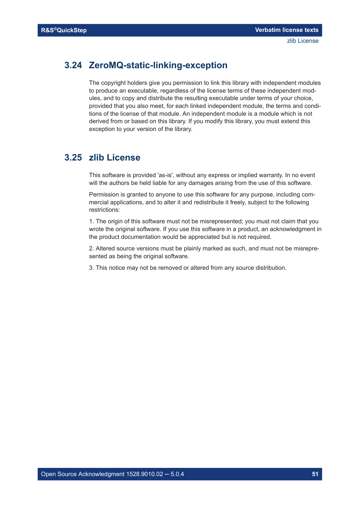## <span id="page-50-0"></span>**3.24 ZeroMQ-static-linking-exception**

The copyright holders give you permission to link this library with independent modules to produce an executable, regardless of the license terms of these independent modules, and to copy and distribute the resulting executable under terms of your choice, provided that you also meet, for each linked independent module, the terms and conditions of the license of that module. An independent module is a module which is not derived from or based on this library. If you modify this library, you must extend this exception to your version of the library.

### **3.25 zlib License**

This software is provided 'as-is', without any express or implied warranty. In no event will the authors be held liable for any damages arising from the use of this software.

Permission is granted to anyone to use this software for any purpose, including commercial applications, and to alter it and redistribute it freely, subject to the following restrictions:

1. The origin of this software must not be misrepresented; you must not claim that you wrote the original software. If you use this software in a product, an acknowledgment in the product documentation would be appreciated but is not required.

2. Altered source versions must be plainly marked as such, and must not be misrepresented as being the original software.

3. This notice may not be removed or altered from any source distribution.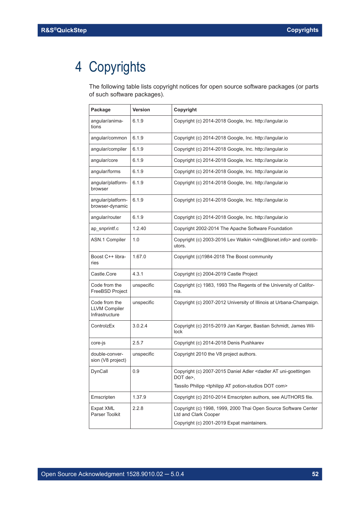## <span id="page-51-0"></span>4 Copyrights

The following table lists copyright notices for open source software packages (or parts of such software packages).

| Package                                                 | <b>Version</b> | Copyright                                                                                      |
|---------------------------------------------------------|----------------|------------------------------------------------------------------------------------------------|
| angular/anima-<br>tions                                 | 6.1.9          | Copyright (c) 2014-2018 Google, Inc. http://angular.io                                         |
| angular/common                                          | 6.1.9          | Copyright (c) 2014-2018 Google, Inc. http://angular.io                                         |
| angular/compiler                                        | 6.1.9          | Copyright (c) 2014-2018 Google, Inc. http://angular.io                                         |
| angular/core                                            | 6.1.9          | Copyright (c) 2014-2018 Google, Inc. http://angular.io                                         |
| angular/forms                                           | 6.1.9          | Copyright (c) 2014-2018 Google, Inc. http://angular.io                                         |
| angular/platform-<br>browser                            | 6.1.9          | Copyright (c) 2014-2018 Google, Inc. http://angular.io                                         |
| angular/platform-<br>browser-dynamic                    | 6.1.9          | Copyright (c) 2014-2018 Google, Inc. http://angular.io                                         |
| angular/router                                          | 6.1.9          | Copyright (c) 2014-2018 Google, Inc. http://angular.io                                         |
| ap_snprintf.c                                           | 1.2.40         | Copyright 2002-2014 The Apache Software Foundation                                             |
| ASN.1 Compiler                                          | 1.0            | Copyright (c) 2003-2016 Lev Walkin <vlm@lionet.info> and contrib-<br/>utors.</vlm@lionet.info> |
| Boost C++ libra-<br>ries                                | 1.67.0         | Copyright (c)1984-2018 The Boost community                                                     |
| Castle.Core                                             | 4.3.1          | Copyright (c) 2004-2019 Castle Project                                                         |
| Code from the<br>FreeBSD Project                        | unspecific     | Copyright (c) 1983, 1993 The Regents of the University of Califor-<br>nia.                     |
| Code from the<br><b>LLVM Compiler</b><br>Infrastructure | unspecific     | Copyright (c) 2007-2012 University of Illinois at Urbana-Champaign.                            |
| ControlzEx                                              | 3.0.2.4        | Copyright (c) 2015-2019 Jan Karger, Bastian Schmidt, James Wil-<br>lock                        |
| core-js                                                 | 2.5.7          | Copyright (c) 2014-2018 Denis Pushkarev                                                        |
| double-conver-<br>sion (V8 project)                     | unspecific     | Copyright 2010 the V8 project authors.                                                         |
| DynCall                                                 | 0.9            | Copyright (c) 2007-2015 Daniel Adler < dadler AT uni-goettingen<br>DOT de>,                    |
|                                                         |                | Tassilo Philipp <tphilipp at="" com="" dot="" potion-studios=""></tphilipp>                    |
| Emscripten                                              | 1.37.9         | Copyright (c) 2010-2014 Emscripten authors, see AUTHORS file.                                  |
| Expat XML<br>Parser Toolkit                             | 2.2.8          | Copyright (c) 1998, 1999, 2000 Thai Open Source Software Center<br>Ltd and Clark Cooper        |
|                                                         |                | Copyright (c) 2001-2019 Expat maintainers.                                                     |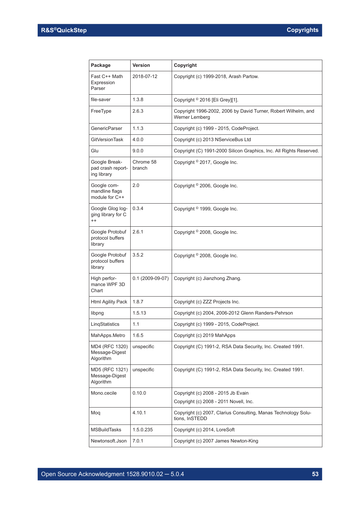| Package                                           | <b>Version</b>      | Copyright                                                                        |
|---------------------------------------------------|---------------------|----------------------------------------------------------------------------------|
| Fast C++ Math<br>Expression<br>Parser             | 2018-07-12          | Copyright (c) 1999-2018, Arash Partow.                                           |
| file-saver                                        | 1.3.8               | Copyright © 2016 [Eli Grey][1].                                                  |
| FreeType                                          | 2.6.3               | Copyright 1996-2002, 2006 by David Turner, Robert Wilhelm, and<br>Werner Lemberg |
| GenericParser                                     | 1.1.3               | Copyright (c) 1999 - 2015, CodeProject.                                          |
| <b>GitVersionTask</b>                             | 4.0.0               | Copyright (c) 2013 NServiceBus Ltd                                               |
| Glu                                               | 9.0.0               | Copyright (C) 1991-2000 Silicon Graphics, Inc. All Rights Reserved.              |
| Google Break-<br>pad crash report-<br>ing library | Chrome 58<br>branch | Copyright <sup>©</sup> 2017, Google Inc.                                         |
| Google com-<br>mandline flags<br>module for C++   | 2.0                 | Copyright <sup>©</sup> 2006, Google Inc.                                         |
| Google Glog log-<br>ging library for C<br>$^{++}$ | 0.3.4               | Copyright <sup>®</sup> 1999, Google Inc.                                         |
| Google Protobuf<br>protocol buffers<br>library    | 2.6.1               | Copyright <sup>©</sup> 2008, Google Inc.                                         |
| Google Protobuf<br>protocol buffers<br>library    | 3.5.2               | Copyright <sup>©</sup> 2008, Google Inc.                                         |
| High perfor-<br>mance WPF 3D<br>Chart             | $0.1(2009-09-07)$   | Copyright (c) Jianzhong Zhang.                                                   |
| Html Agility Pack                                 | 1.8.7               | Copyright (c) ZZZ Projects Inc.                                                  |
| libpng                                            | 1.5.13              | Copyright (c) 2004, 2006-2012 Glenn Randers-Pehrson                              |
| LingStatistics                                    | 1.1                 | Copyright (c) 1999 - 2015, CodeProject.                                          |
| MahApps.Metro                                     | 1.6.5               | Copyright (c) 2019 MahApps                                                       |
| MD4 (RFC 1320)<br>Message-Digest<br>Algorithm     | unspecific          | Copyright (C) 1991-2, RSA Data Security, Inc. Created 1991.                      |
| MD5 (RFC 1321)<br>Message-Digest<br>Algorithm     | unspecific          | Copyright (C) 1991-2, RSA Data Security, Inc. Created 1991.                      |
| Mono.cecile                                       | 0.10.0              | Copyright (c) 2008 - 2015 Jb Evain                                               |
|                                                   |                     | Copyright (c) 2008 - 2011 Novell, Inc.                                           |
| Moq                                               | 4.10.1              | Copyright (c) 2007, Clarius Consulting, Manas Technology Solu-<br>tions, InSTEDD |
| <b>MSBuildTasks</b>                               | 1.5.0.235           | Copyright (c) 2014, LoreSoft                                                     |
| Newtonsoft.Json                                   | 7.0.1               | Copyright (c) 2007 James Newton-King                                             |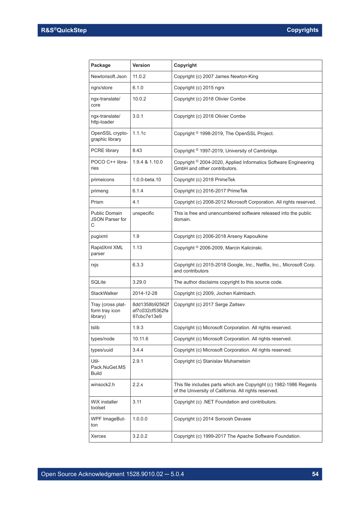| Package                                             | Version                                          | Copyright                                                                                                                   |
|-----------------------------------------------------|--------------------------------------------------|-----------------------------------------------------------------------------------------------------------------------------|
| Newtonsoft.Json                                     | 11.0.2                                           | Copyright (c) 2007 James Newton-King                                                                                        |
| ngrx/store                                          | 6.1.0                                            | Copyright (c) 2015 ngrx                                                                                                     |
| ngx-translate/<br>core                              | 10.0.2                                           | Copyright (c) 2018 Olivier Combe                                                                                            |
| ngx-translate/<br>http-loader                       | 3.0.1                                            | Copyright (c) 2018 Olivier Combe                                                                                            |
| OpenSSL crypto-<br>graphic library                  | 1.1.1c                                           | Copyright <sup>©</sup> 1998-2019, The OpenSSL Project.                                                                      |
| PCRE library                                        | 8.43                                             | Copyright <sup>©</sup> 1997-2019, University of Cambridge.                                                                  |
| POCO C++ libra-<br>ries                             | 1.9.4 & 1.10.0                                   | Copyright © 2004-2020, Applied Informatics Software Engineering<br>GmbH and other contributors.                             |
| primeicons                                          | 1.0.0-beta.10                                    | Copyright (c) 2018 PrimeTek                                                                                                 |
| primeng                                             | 6.1.4                                            | Copyright (c) 2016-2017 PrimeTek                                                                                            |
| Prism                                               | 4.1                                              | Copyright (c) 2008-2012 Microsoft Corporation. All rights reserved.                                                         |
| <b>Public Domain</b><br><b>JSON Parser for</b><br>С | unspecific                                       | This is free and unencumbered software released into the public<br>domain.                                                  |
| pugixml                                             | 1.9                                              | Copyright (c) 2006-2018 Arseny Kapoulkine                                                                                   |
| RapidXml XML<br>parser                              | 1.13                                             | Copyright <sup>©</sup> 2006-2009, Marcin Kalicinski.                                                                        |
| rxjs                                                | 6.3.3                                            | Copyright (c) 2015-2018 Google, Inc., Netflix, Inc., Microsoft Corp.<br>and contributors                                    |
| SQLite                                              | 3.29.0                                           | The author disclaims copyright to this source code.                                                                         |
| <b>StackWalker</b>                                  | 2014-12-28                                       | Copyright (c) 2009, Jochen Kalmbach.                                                                                        |
| Tray (cross plat-<br>form tray icon<br>library)     | 8dd1358b92562f<br>af7c032cf5362fa<br>97cbc7e13e9 | Copyright (c) 2017 Serge Zaitsev                                                                                            |
| tslib                                               | 1.9.3                                            | Copyright (c) Microsoft Corporation. All rights reserved.                                                                   |
| types/node                                          | 10.11.6                                          | Copyright (c) Microsoft Corporation. All rights reserved.                                                                   |
| types/uuid                                          | 3.4.4                                            | Copyright (c) Microsoft Corporation. All rights reserved.                                                                   |
| Util-<br>Pack.NuGet.MS<br><b>Build</b>              | 2.9.1                                            | Copyright (c) Stanislav Muhametsin                                                                                          |
| winsock2.h                                          | 2.2.x                                            | This file includes parts which are Copyright (c) 1982-1986 Regents<br>of the University of California. All rights reserved. |
| WiX installer<br>toolset                            | 3.11                                             | Copyright (c) .NET Foundation and contributors.                                                                             |
| WPF ImageBut-<br>ton                                | 1.0.0.0                                          | Copyright (c) 2014 Soroosh Davaee                                                                                           |
| Xerces                                              | 3.2.0.2                                          | Copyright (c) 1999-2017 The Apache Software Foundation.                                                                     |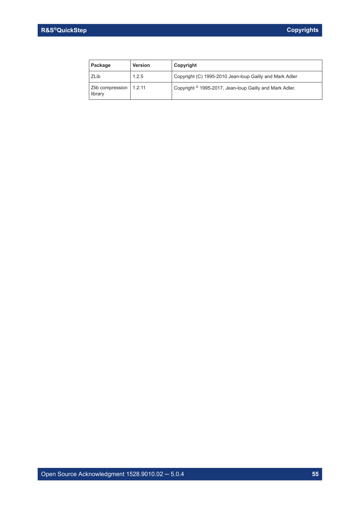| Package                     | <b>Version</b> | Copyright                                                          |
|-----------------------------|----------------|--------------------------------------------------------------------|
| ZLib                        | 1.2.5          | Copyright (C) 1995-2010 Jean-loup Gailly and Mark Adler            |
| Zlib compression<br>library | 1 2 11         | Copyright <sup>©</sup> 1995-2017, Jean-loup Gailly and Mark Adler. |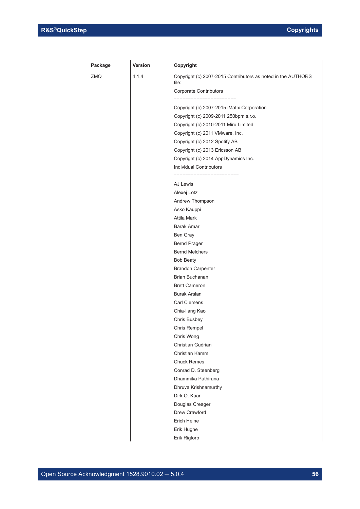| Package | Version | Copyright                                                             |
|---------|---------|-----------------------------------------------------------------------|
| ZMQ     | 4.1.4   | Copyright (c) 2007-2015 Contributors as noted in the AUTHORS<br>file: |
|         |         | <b>Corporate Contributors</b>                                         |
|         |         | ======================                                                |
|         |         | Copyright (c) 2007-2015 iMatix Corporation                            |
|         |         | Copyright (c) 2009-2011 250bpm s.r.o.                                 |
|         |         | Copyright (c) 2010-2011 Miru Limited                                  |
|         |         | Copyright (c) 2011 VMware, Inc.                                       |
|         |         | Copyright (c) 2012 Spotify AB                                         |
|         |         | Copyright (c) 2013 Ericsson AB                                        |
|         |         | Copyright (c) 2014 AppDynamics Inc.                                   |
|         |         | <b>Individual Contributors</b>                                        |
|         |         | =======================                                               |
|         |         | AJ Lewis                                                              |
|         |         | Alexej Lotz                                                           |
|         |         | Andrew Thompson                                                       |
|         |         | Asko Kauppi                                                           |
|         |         | <b>Attila Mark</b>                                                    |
|         |         | <b>Barak Amar</b>                                                     |
|         |         | Ben Gray                                                              |
|         |         | <b>Bernd Prager</b>                                                   |
|         |         | <b>Bernd Melchers</b>                                                 |
|         |         | <b>Bob Beaty</b>                                                      |
|         |         | <b>Brandon Carpenter</b>                                              |
|         |         | Brian Buchanan                                                        |
|         |         | <b>Brett Cameron</b>                                                  |
|         |         | <b>Burak Arslan</b>                                                   |
|         |         | <b>Carl Clemens</b>                                                   |
|         |         | Chia-liang Kao                                                        |
|         |         | Chris Busbey                                                          |
|         |         | <b>Chris Rempel</b>                                                   |
|         |         | Chris Wong                                                            |
|         |         | Christian Gudrian                                                     |
|         |         | Christian Kamm                                                        |
|         |         | <b>Chuck Remes</b>                                                    |
|         |         | Conrad D. Steenberg                                                   |
|         |         | Dhammika Pathirana                                                    |
|         |         | Dhruva Krishnamurthy                                                  |
|         |         | Dirk O. Kaar                                                          |
|         |         | Douglas Creager                                                       |
|         |         | Drew Crawford                                                         |
|         |         | Erich Heine                                                           |
|         |         | Erik Hugne                                                            |
|         |         | Erik Rigtorp                                                          |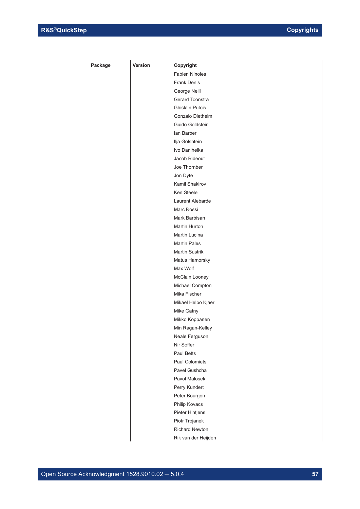| Package | Version | Copyright              |
|---------|---------|------------------------|
|         |         | <b>Fabien Ninoles</b>  |
|         |         | Frank Denis            |
|         |         | George Neill           |
|         |         | Gerard Toonstra        |
|         |         | <b>Ghislain Putois</b> |
|         |         | Gonzalo Diethelm       |
|         |         | Guido Goldstein        |
|         |         | lan Barber             |
|         |         | Ilja Golshtein         |
|         |         | Ivo Danihelka          |
|         |         | Jacob Rideout          |
|         |         | Joe Thornber           |
|         |         | Jon Dyte               |
|         |         | Kamil Shakirov         |
|         |         | Ken Steele             |
|         |         | Laurent Alebarde       |
|         |         | Marc Rossi             |
|         |         | Mark Barbisan          |
|         |         | Martin Hurton          |
|         |         | Martin Lucina          |
|         |         | <b>Martin Pales</b>    |
|         |         | Martin Sustrik         |
|         |         | Matus Hamorsky         |
|         |         | Max Wolf               |
|         |         | McClain Looney         |
|         |         | Michael Compton        |
|         |         | Mika Fischer           |
|         |         | Mikael Helbo Kjaer     |
|         |         | Mike Gatny             |
|         |         | Mikko Koppanen         |
|         |         | Min Ragan-Kelley       |
|         |         | Neale Ferguson         |
|         |         | Nir Soffer             |
|         |         | Paul Betts             |
|         |         | Paul Colomiets         |
|         |         | Pavel Gushcha          |
|         |         | Pavol Malosek          |
|         |         | Perry Kundert          |
|         |         | Peter Bourgon          |
|         |         | Philip Kovacs          |
|         |         | Pieter Hintjens        |
|         |         | Piotr Trojanek         |
|         |         | Richard Newton         |
|         |         | Rik van der Heijden    |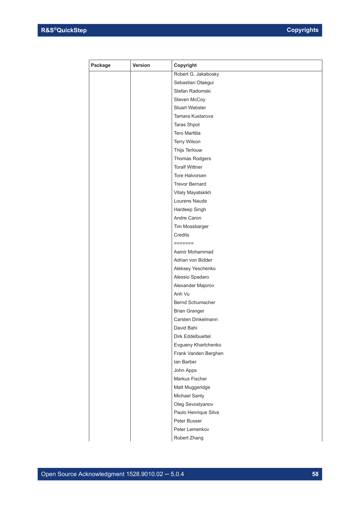| Package | Version | Copyright                                                                                                                                                                             |
|---------|---------|---------------------------------------------------------------------------------------------------------------------------------------------------------------------------------------|
|         |         | Robert G. Jakabosky                                                                                                                                                                   |
|         |         | Sebastian Otaegui                                                                                                                                                                     |
|         |         | Stefan Radomski                                                                                                                                                                       |
|         |         | Steven McCoy                                                                                                                                                                          |
|         |         | <b>Stuart Webster</b>                                                                                                                                                                 |
|         |         | Tamara Kustarova                                                                                                                                                                      |
|         |         | Taras Shpot                                                                                                                                                                           |
|         |         | Tero Marttila                                                                                                                                                                         |
|         |         | Terry Wilson                                                                                                                                                                          |
|         |         | Thijs Terlouw                                                                                                                                                                         |
|         |         | Thomas Rodgers                                                                                                                                                                        |
|         |         | <b>Toralf Wittner</b>                                                                                                                                                                 |
|         |         | Tore Halvorsen                                                                                                                                                                        |
|         |         | <b>Trevor Bernard</b>                                                                                                                                                                 |
|         |         | Vitaly Mayatskikh                                                                                                                                                                     |
|         |         | Lourens Naude                                                                                                                                                                         |
|         |         | Hardeep Singh                                                                                                                                                                         |
|         |         | Andre Caron                                                                                                                                                                           |
|         |         | Tim Mossbarger                                                                                                                                                                        |
|         |         | Credits                                                                                                                                                                               |
|         |         | =======                                                                                                                                                                               |
|         |         | Aamir Mohammad                                                                                                                                                                        |
|         |         | Adrian von Bidder                                                                                                                                                                     |
|         |         | Aleksey Yeschenko                                                                                                                                                                     |
|         |         | Alessio Spadaro                                                                                                                                                                       |
|         |         | Alexander Majorov                                                                                                                                                                     |
|         |         | Anh Vu                                                                                                                                                                                |
|         |         | Bernd Schumacher                                                                                                                                                                      |
|         |         | <b>Brian Granger</b>                                                                                                                                                                  |
|         |         | Carsten Dinkelmann                                                                                                                                                                    |
|         |         | David Bahi                                                                                                                                                                            |
|         |         | Dirk Eddelbuettel                                                                                                                                                                     |
|         |         | Evgueny Khartchenko                                                                                                                                                                   |
|         |         |                                                                                                                                                                                       |
|         |         | lan Barber                                                                                                                                                                            |
|         |         |                                                                                                                                                                                       |
|         |         |                                                                                                                                                                                       |
|         |         |                                                                                                                                                                                       |
|         |         |                                                                                                                                                                                       |
|         |         |                                                                                                                                                                                       |
|         |         |                                                                                                                                                                                       |
|         |         |                                                                                                                                                                                       |
|         |         |                                                                                                                                                                                       |
|         |         |                                                                                                                                                                                       |
|         |         | Frank Vanden Berghen<br>John Apps<br>Markus Fischer<br>Matt Muggeridge<br>Michael Santy<br>Oleg Sevostyanov<br>Paulo Henrique Silva<br>Peter Busser<br>Peter Lemenkov<br>Robert Zhang |